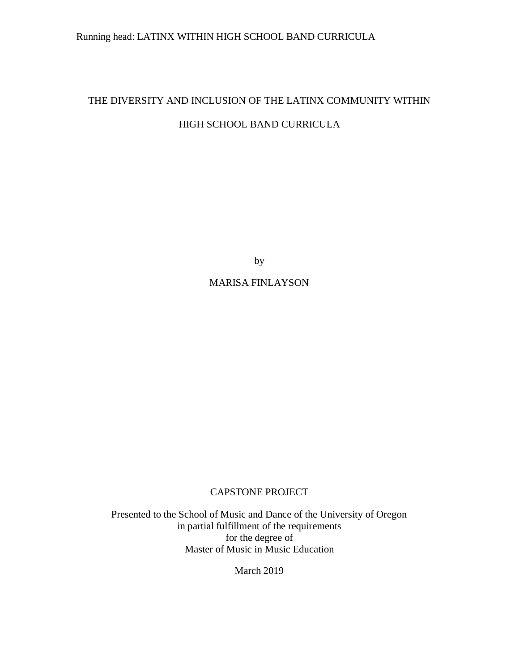## Running head: LATINX WITHIN HIGH SCHOOL BAND CURRICULA

# THE DIVERSITY AND INCLUSION OF THE LATINX COMMUNITY WITHIN HIGH SCHOOL BAND CURRICULA

by

### MARISA FINLAYSON

#### CAPSTONE PROJECT

Presented to the School of Music and Dance of the University of Oregon in partial fulfillment of the requirements for the degree of Master of Music in Music Education

March 2019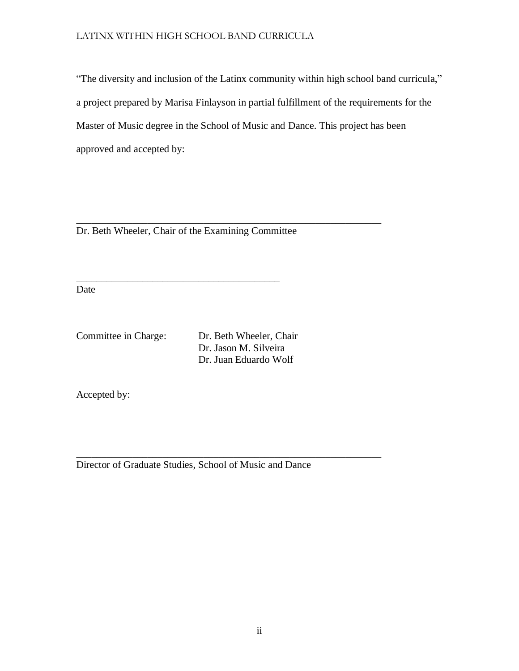"The diversity and inclusion of the Latinx community within high school band curricula," a project prepared by Marisa Finlayson in partial fulfillment of the requirements for the Master of Music degree in the School of Music and Dance. This project has been approved and accepted by:

Dr. Beth Wheeler, Chair of the Examining Committee

\_\_\_\_\_\_\_\_\_\_\_\_\_\_\_\_\_\_\_\_\_\_\_\_\_\_\_\_\_\_\_\_\_\_\_\_\_\_\_\_

\_\_\_\_\_\_\_\_\_\_\_\_\_\_\_\_\_\_\_\_\_\_\_\_\_\_\_\_\_\_\_\_\_\_\_\_\_\_\_\_\_\_\_\_\_\_\_\_\_\_\_\_\_\_\_\_\_\_\_\_

Date

Committee in Charge: Dr. Beth Wheeler, Chair Dr. Jason M. Silveira Dr. Juan Eduardo Wolf

Accepted by:

Director of Graduate Studies, School of Music and Dance

\_\_\_\_\_\_\_\_\_\_\_\_\_\_\_\_\_\_\_\_\_\_\_\_\_\_\_\_\_\_\_\_\_\_\_\_\_\_\_\_\_\_\_\_\_\_\_\_\_\_\_\_\_\_\_\_\_\_\_\_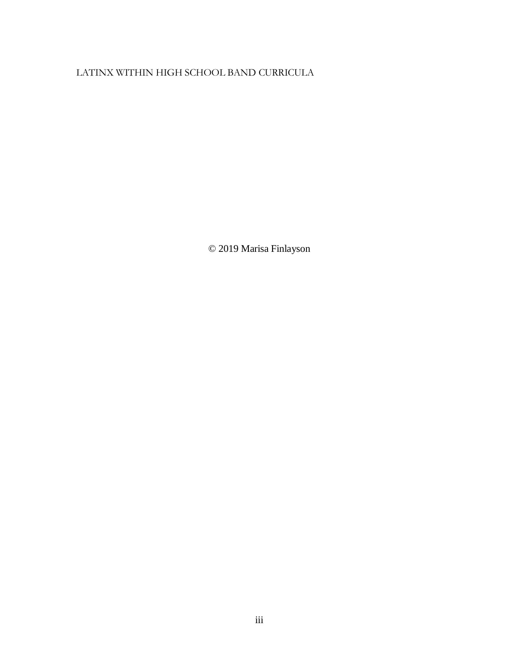© 2019 Marisa Finlayson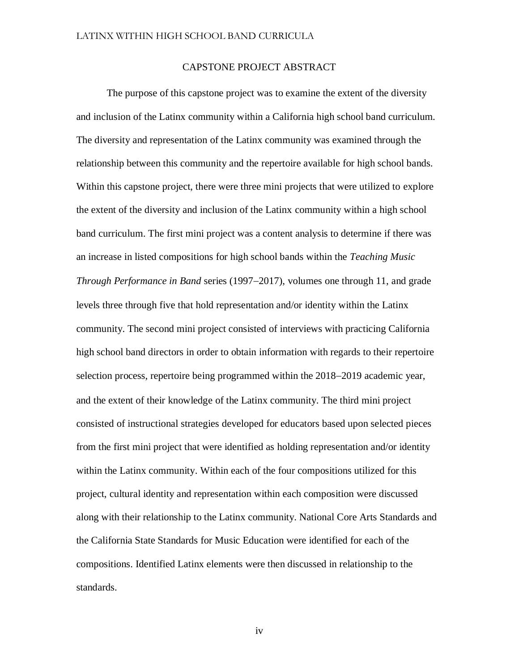#### CAPSTONE PROJECT ABSTRACT

<span id="page-3-0"></span>The purpose of this capstone project was to examine the extent of the diversity and inclusion of the Latinx community within a California high school band curriculum. The diversity and representation of the Latinx community was examined through the relationship between this community and the repertoire available for high school bands. Within this capstone project, there were three mini projects that were utilized to explore the extent of the diversity and inclusion of the Latinx community within a high school band curriculum. The first mini project was a content analysis to determine if there was an increase in listed compositions for high school bands within the *Teaching Music Through Performance in Band* series (1997−2017), volumes one through 11, and grade levels three through five that hold representation and/or identity within the Latinx community. The second mini project consisted of interviews with practicing California high school band directors in order to obtain information with regards to their repertoire selection process, repertoire being programmed within the 2018−2019 academic year, and the extent of their knowledge of the Latinx community. The third mini project consisted of instructional strategies developed for educators based upon selected pieces from the first mini project that were identified as holding representation and/or identity within the Latinx community. Within each of the four compositions utilized for this project, cultural identity and representation within each composition were discussed along with their relationship to the Latinx community. National Core Arts Standards and the California State Standards for Music Education were identified for each of the compositions. Identified Latinx elements were then discussed in relationship to the standards.

<span id="page-3-1"></span>iv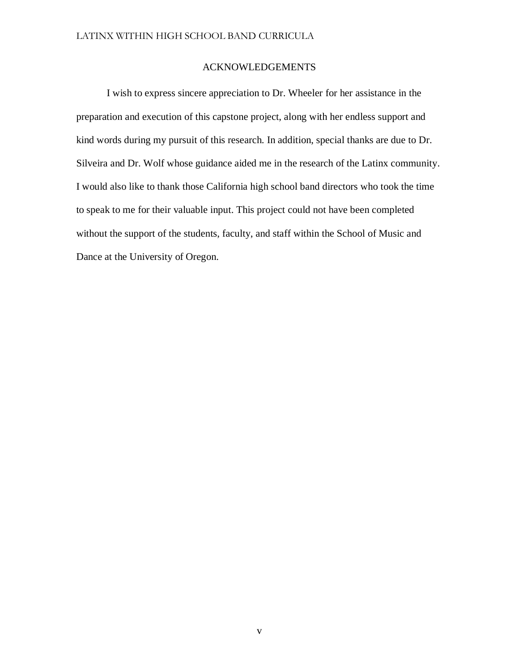#### ACKNOWLEDGEMENTS

I wish to express sincere appreciation to Dr. Wheeler for her assistance in the preparation and execution of this capstone project, along with her endless support and kind words during my pursuit of this research. In addition, special thanks are due to Dr. Silveira and Dr. Wolf whose guidance aided me in the research of the Latinx community. I would also like to thank those California high school band directors who took the time to speak to me for their valuable input. This project could not have been completed without the support of the students, faculty, and staff within the School of Music and Dance at the University of Oregon.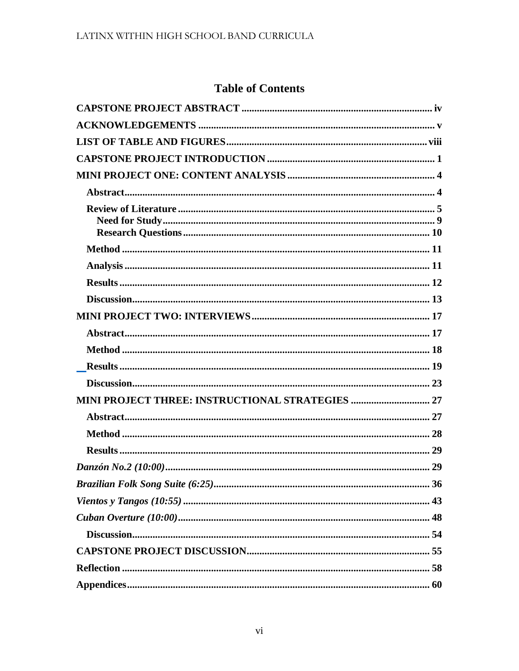## **Table of Contents**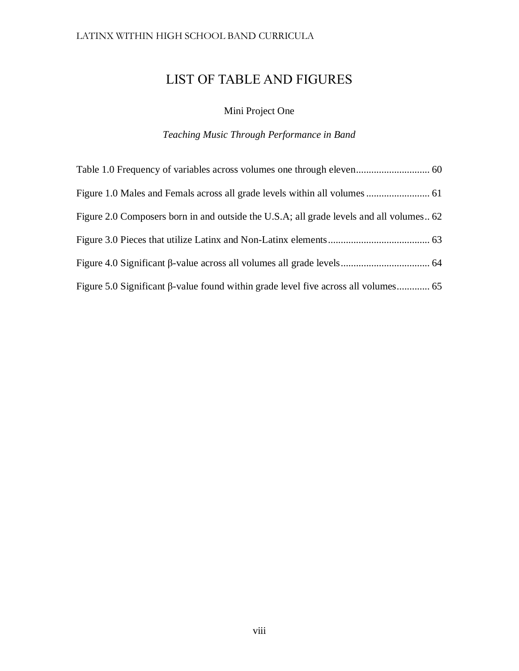## <span id="page-7-0"></span>LIST OF TABLE AND FIGURES

## Mini Project One

## *Teaching Music Through Performance in Band*

| Figure 2.0 Composers born in and outside the U.S.A; all grade levels and all volumes 62 |  |
|-----------------------------------------------------------------------------------------|--|
|                                                                                         |  |
|                                                                                         |  |
|                                                                                         |  |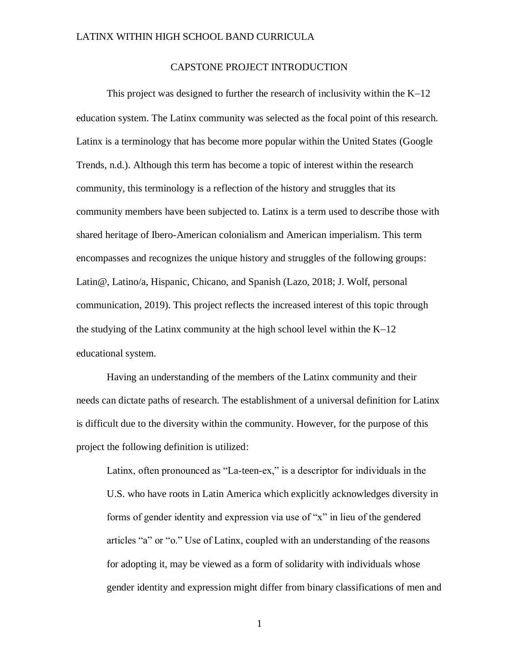#### CAPSTONE PROJECT INTRODUCTION

<span id="page-8-0"></span>This project was designed to further the research of inclusivity within the K−12 education system. The Latinx community was selected as the focal point of this research. Latinx is a terminology that has become more popular within the United States (Google Trends, n.d.). Although this term has become a topic of interest within the research community, this terminology is a reflection of the history and struggles that its community members have been subjected to. Latinx is a term used to describe those with shared heritage of Ibero-American colonialism and American imperialism. This term encompasses and recognizes the unique history and struggles of the following groups: Latin@, Latino/a, Hispanic, Chicano, and Spanish (Lazo, 2018; J. Wolf, personal communication, 2019). This project reflects the increased interest of this topic through the studying of the Latinx community at the high school level within the K−12 educational system.

Having an understanding of the members of the Latinx community and their needs can dictate paths of research. The establishment of a universal definition for Latinx is difficult due to the diversity within the community. However, for the purpose of this project the following definition is utilized:

Latinx, often pronounced as "La-teen-ex," is a descriptor for individuals in the U.S. who have roots in Latin America which explicitly acknowledges diversity in forms of gender identity and expression via use of "x" in lieu of the gendered articles "a" or "o." Use of Latinx, coupled with an understanding of the reasons for adopting it, may be viewed as a form of solidarity with individuals whose gender identity and expression might differ from binary classifications of men and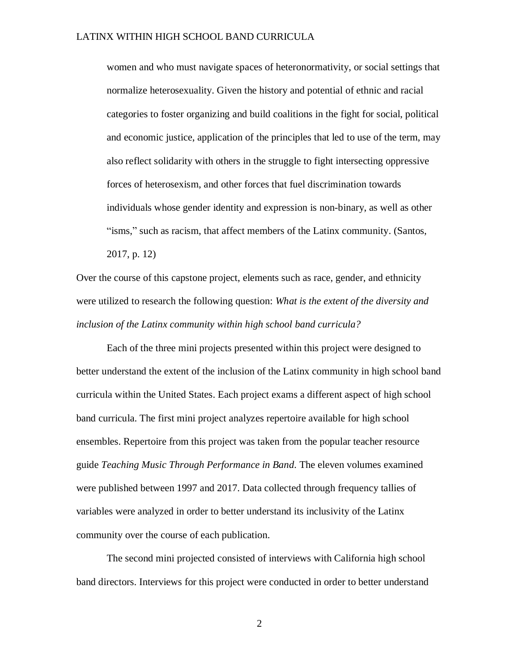women and who must navigate spaces of heteronormativity, or social settings that normalize heterosexuality. Given the history and potential of ethnic and racial categories to foster organizing and build coalitions in the fight for social, political and economic justice, application of the principles that led to use of the term, may also reflect solidarity with others in the struggle to fight intersecting oppressive forces of heterosexism, and other forces that fuel discrimination towards individuals whose gender identity and expression is non-binary, as well as other "isms," such as racism, that affect members of the Latinx community. (Santos, 2017, p. 12)

Over the course of this capstone project, elements such as race, gender, and ethnicity were utilized to research the following question: *What is the extent of the diversity and inclusion of the Latinx community within high school band curricula?*

Each of the three mini projects presented within this project were designed to better understand the extent of the inclusion of the Latinx community in high school band curricula within the United States. Each project exams a different aspect of high school band curricula. The first mini project analyzes repertoire available for high school ensembles. Repertoire from this project was taken from the popular teacher resource guide *Teaching Music Through Performance in Band.* The eleven volumes examined were published between 1997 and 2017. Data collected through frequency tallies of variables were analyzed in order to better understand its inclusivity of the Latinx community over the course of each publication.

The second mini projected consisted of interviews with California high school band directors. Interviews for this project were conducted in order to better understand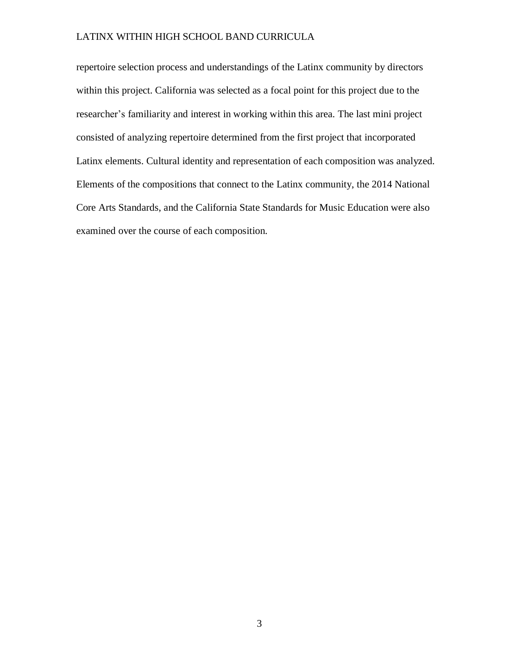repertoire selection process and understandings of the Latinx community by directors within this project. California was selected as a focal point for this project due to the researcher's familiarity and interest in working within this area. The last mini project consisted of analyzing repertoire determined from the first project that incorporated Latinx elements. Cultural identity and representation of each composition was analyzed. Elements of the compositions that connect to the Latinx community, the 2014 National Core Arts Standards, and the California State Standards for Music Education were also examined over the course of each composition.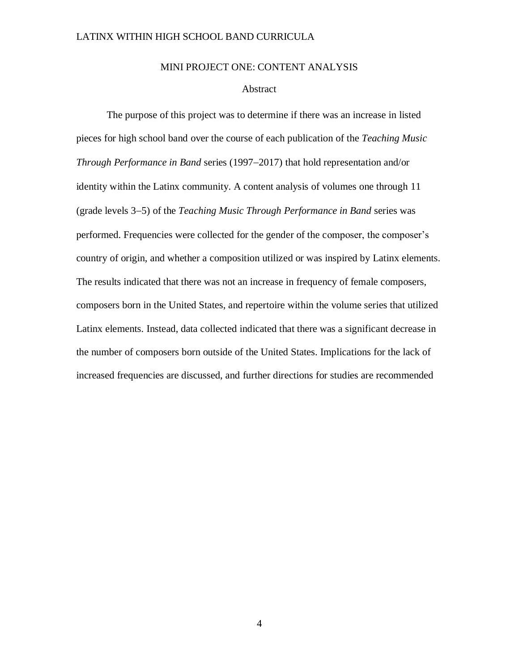#### MINI PROJECT ONE: CONTENT ANALYSIS

#### Abstract

<span id="page-11-1"></span><span id="page-11-0"></span>The purpose of this project was to determine if there was an increase in listed pieces for high school band over the course of each publication of the *Teaching Music Through Performance in Band* series (1997−2017) that hold representation and/or identity within the Latinx community. A content analysis of volumes one through 11 (grade levels 3−5) of the *Teaching Music Through Performance in Band* series was performed. Frequencies were collected for the gender of the composer, the composer's country of origin, and whether a composition utilized or was inspired by Latinx elements. The results indicated that there was not an increase in frequency of female composers, composers born in the United States, and repertoire within the volume series that utilized Latinx elements. Instead, data collected indicated that there was a significant decrease in the number of composers born outside of the United States. Implications for the lack of increased frequencies are discussed, and further directions for studies are recommended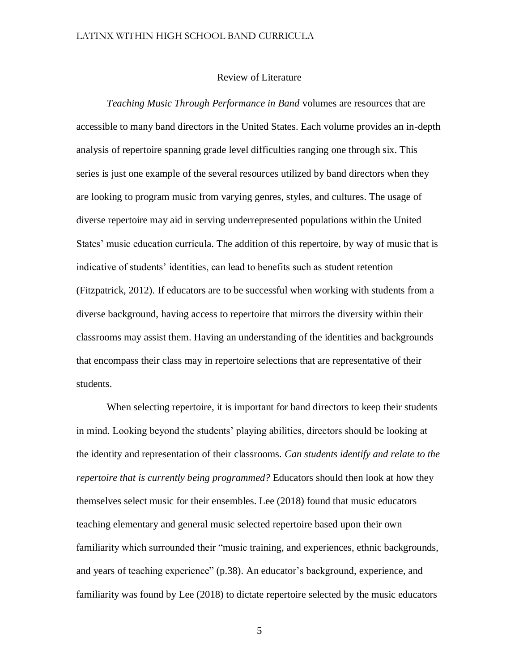#### Review of Literature

<span id="page-12-0"></span>*Teaching Music Through Performance in Band* volumes are resources that are accessible to many band directors in the United States. Each volume provides an in-depth analysis of repertoire spanning grade level difficulties ranging one through six. This series is just one example of the several resources utilized by band directors when they are looking to program music from varying genres, styles, and cultures. The usage of diverse repertoire may aid in serving underrepresented populations within the United States' music education curricula. The addition of this repertoire, by way of music that is indicative of students' identities, can lead to benefits such as student retention (Fitzpatrick, 2012). If educators are to be successful when working with students from a diverse background, having access to repertoire that mirrors the diversity within their classrooms may assist them. Having an understanding of the identities and backgrounds that encompass their class may in repertoire selections that are representative of their students.

When selecting repertoire, it is important for band directors to keep their students in mind. Looking beyond the students' playing abilities, directors should be looking at the identity and representation of their classrooms. *Can students identify and relate to the repertoire that is currently being programmed?* Educators should then look at how they themselves select music for their ensembles. Lee (2018) found that music educators teaching elementary and general music selected repertoire based upon their own familiarity which surrounded their "music training, and experiences, ethnic backgrounds, and years of teaching experience" (p.38). An educator's background, experience, and familiarity was found by Lee (2018) to dictate repertoire selected by the music educators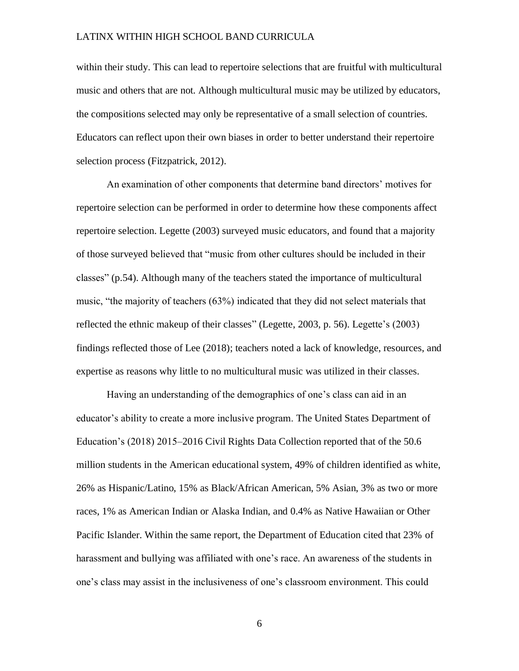within their study. This can lead to repertoire selections that are fruitful with multicultural music and others that are not. Although multicultural music may be utilized by educators, the compositions selected may only be representative of a small selection of countries. Educators can reflect upon their own biases in order to better understand their repertoire selection process (Fitzpatrick, 2012).

An examination of other components that determine band directors' motives for repertoire selection can be performed in order to determine how these components affect repertoire selection. Legette (2003) surveyed music educators, and found that a majority of those surveyed believed that "music from other cultures should be included in their classes" (p.54). Although many of the teachers stated the importance of multicultural music, "the majority of teachers (63%) indicated that they did not select materials that reflected the ethnic makeup of their classes" (Legette, 2003, p. 56). Legette's (2003) findings reflected those of Lee (2018); teachers noted a lack of knowledge, resources, and expertise as reasons why little to no multicultural music was utilized in their classes.

Having an understanding of the demographics of one's class can aid in an educator's ability to create a more inclusive program. The United States Department of Education's (2018) 2015–2016 Civil Rights Data Collection reported that of the 50.6 million students in the American educational system, 49% of children identified as white, 26% as Hispanic/Latino, 15% as Black/African American, 5% Asian, 3% as two or more races, 1% as American Indian or Alaska Indian, and 0.4% as Native Hawaiian or Other Pacific Islander. Within the same report, the Department of Education cited that 23% of harassment and bullying was affiliated with one's race. An awareness of the students in one's class may assist in the inclusiveness of one's classroom environment. This could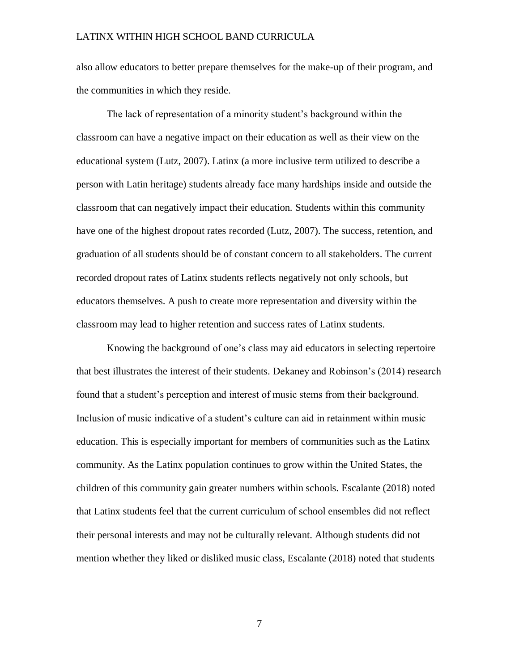also allow educators to better prepare themselves for the make-up of their program, and the communities in which they reside.

The lack of representation of a minority student's background within the classroom can have a negative impact on their education as well as their view on the educational system (Lutz, 2007). Latinx (a more inclusive term utilized to describe a person with Latin heritage) students already face many hardships inside and outside the classroom that can negatively impact their education. Students within this community have one of the highest dropout rates recorded (Lutz, 2007). The success, retention, and graduation of all students should be of constant concern to all stakeholders. The current recorded dropout rates of Latinx students reflects negatively not only schools, but educators themselves. A push to create more representation and diversity within the classroom may lead to higher retention and success rates of Latinx students.

Knowing the background of one's class may aid educators in selecting repertoire that best illustrates the interest of their students. Dekaney and Robinson's (2014) research found that a student's perception and interest of music stems from their background. Inclusion of music indicative of a student's culture can aid in retainment within music education. This is especially important for members of communities such as the Latinx community. As the Latinx population continues to grow within the United States, the children of this community gain greater numbers within schools. Escalante (2018) noted that Latinx students feel that the current curriculum of school ensembles did not reflect their personal interests and may not be culturally relevant. Although students did not mention whether they liked or disliked music class, Escalante (2018) noted that students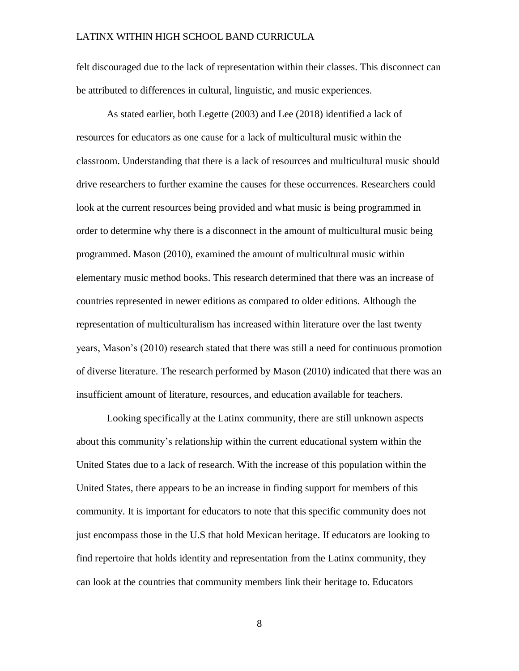felt discouraged due to the lack of representation within their classes. This disconnect can be attributed to differences in cultural, linguistic, and music experiences.

As stated earlier, both Legette (2003) and Lee (2018) identified a lack of resources for educators as one cause for a lack of multicultural music within the classroom. Understanding that there is a lack of resources and multicultural music should drive researchers to further examine the causes for these occurrences. Researchers could look at the current resources being provided and what music is being programmed in order to determine why there is a disconnect in the amount of multicultural music being programmed. Mason (2010), examined the amount of multicultural music within elementary music method books. This research determined that there was an increase of countries represented in newer editions as compared to older editions. Although the representation of multiculturalism has increased within literature over the last twenty years, Mason's (2010) research stated that there was still a need for continuous promotion of diverse literature. The research performed by Mason (2010) indicated that there was an insufficient amount of literature, resources, and education available for teachers.

Looking specifically at the Latinx community, there are still unknown aspects about this community's relationship within the current educational system within the United States due to a lack of research. With the increase of this population within the United States, there appears to be an increase in finding support for members of this community. It is important for educators to note that this specific community does not just encompass those in the U.S that hold Mexican heritage. If educators are looking to find repertoire that holds identity and representation from the Latinx community, they can look at the countries that community members link their heritage to. Educators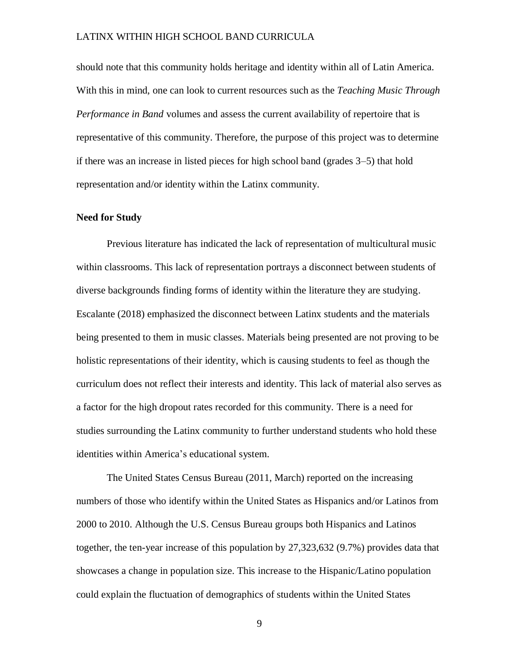should note that this community holds heritage and identity within all of Latin America. With this in mind, one can look to current resources such as the *Teaching Music Through Performance in Band* volumes and assess the current availability of repertoire that is representative of this community. Therefore, the purpose of this project was to determine if there was an increase in listed pieces for high school band (grades 3–5) that hold representation and/or identity within the Latinx community.

#### <span id="page-16-0"></span>**Need for Study**

Previous literature has indicated the lack of representation of multicultural music within classrooms. This lack of representation portrays a disconnect between students of diverse backgrounds finding forms of identity within the literature they are studying. Escalante (2018) emphasized the disconnect between Latinx students and the materials being presented to them in music classes. Materials being presented are not proving to be holistic representations of their identity, which is causing students to feel as though the curriculum does not reflect their interests and identity. This lack of material also serves as a factor for the high dropout rates recorded for this community. There is a need for studies surrounding the Latinx community to further understand students who hold these identities within America's educational system.

The United States Census Bureau (2011, March) reported on the increasing numbers of those who identify within the United States as Hispanics and/or Latinos from 2000 to 2010. Although the U.S. Census Bureau groups both Hispanics and Latinos together, the ten-year increase of this population by 27,323,632 (9.7%) provides data that showcases a change in population size. This increase to the Hispanic/Latino population could explain the fluctuation of demographics of students within the United States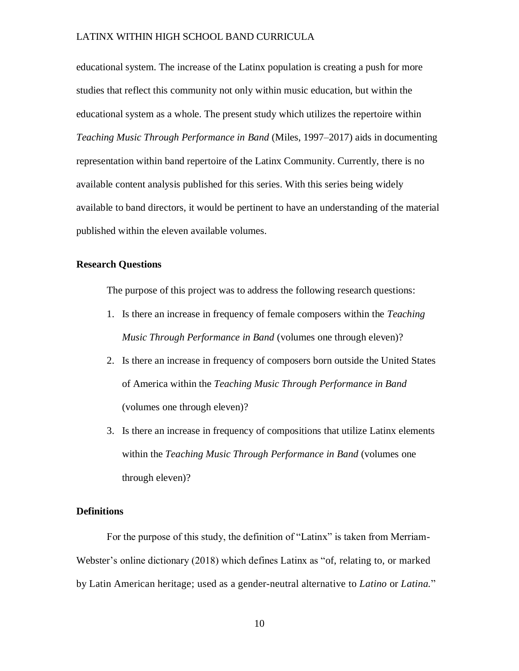educational system. The increase of the Latinx population is creating a push for more studies that reflect this community not only within music education, but within the educational system as a whole. The present study which utilizes the repertoire within *Teaching Music Through Performance in Band* (Miles, 1997–2017) aids in documenting representation within band repertoire of the Latinx Community. Currently, there is no available content analysis published for this series. With this series being widely available to band directors, it would be pertinent to have an understanding of the material published within the eleven available volumes.

#### <span id="page-17-0"></span>**Research Questions**

The purpose of this project was to address the following research questions:

- 1. Is there an increase in frequency of female composers within the *Teaching Music Through Performance in Band* (volumes one through eleven)?
- 2. Is there an increase in frequency of composers born outside the United States of America within the *Teaching Music Through Performance in Band* (volumes one through eleven)?
- 3. Is there an increase in frequency of compositions that utilize Latinx elements within the *Teaching Music Through Performance in Band* (volumes one through eleven)?

#### **Definitions**

For the purpose of this study, the definition of "Latinx" is taken from Merriam-Webster's online dictionary (2018) which defines Latinx as "of, relating to, or marked by Latin American heritage; used as a gender-neutral alternative to *Latino* or *Latina.*"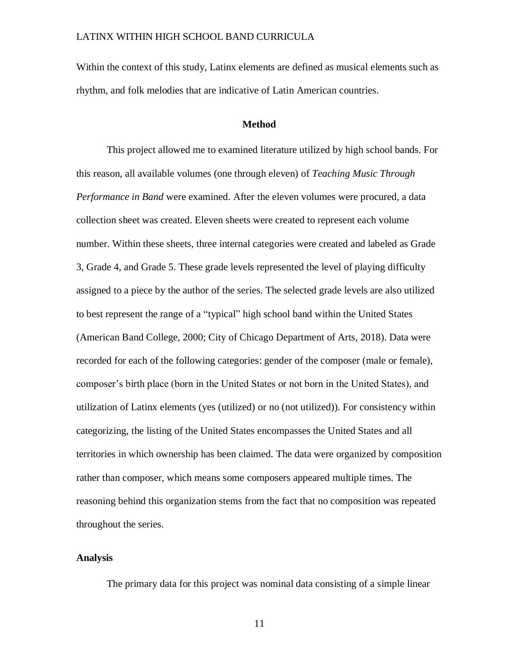Within the context of this study, Latinx elements are defined as musical elements such as rhythm, and folk melodies that are indicative of Latin American countries.

#### **Method**

<span id="page-18-0"></span>This project allowed me to examined literature utilized by high school bands. For this reason, all available volumes (one through eleven) of *Teaching Music Through Performance in Band* were examined. After the eleven volumes were procured, a data collection sheet was created. Eleven sheets were created to represent each volume number. Within these sheets, three internal categories were created and labeled as Grade 3, Grade 4, and Grade 5. These grade levels represented the level of playing difficulty assigned to a piece by the author of the series. The selected grade levels are also utilized to best represent the range of a "typical" high school band within the United States (American Band College, 2000; City of Chicago Department of Arts, 2018). Data were recorded for each of the following categories: gender of the composer (male or female), composer's birth place (born in the United States or not born in the United States), and utilization of Latinx elements (yes (utilized) or no (not utilized)). For consistency within categorizing, the listing of the United States encompasses the United States and all territories in which ownership has been claimed. The data were organized by composition rather than composer, which means some composers appeared multiple times. The reasoning behind this organization stems from the fact that no composition was repeated throughout the series.

#### <span id="page-18-1"></span>**Analysis**

The primary data for this project was nominal data consisting of a simple linear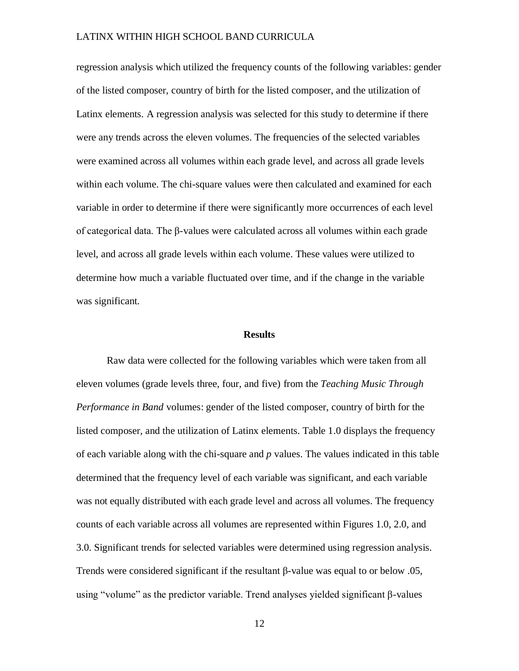regression analysis which utilized the frequency counts of the following variables: gender of the listed composer, country of birth for the listed composer, and the utilization of Latinx elements. A regression analysis was selected for this study to determine if there were any trends across the eleven volumes. The frequencies of the selected variables were examined across all volumes within each grade level, and across all grade levels within each volume. The chi-square values were then calculated and examined for each variable in order to determine if there were significantly more occurrences of each level of categorical data. The β-values were calculated across all volumes within each grade level, and across all grade levels within each volume. These values were utilized to determine how much a variable fluctuated over time, and if the change in the variable was significant.

#### **Results**

<span id="page-19-0"></span>Raw data were collected for the following variables which were taken from all eleven volumes (grade levels three, four, and five) from the *Teaching Music Through Performance in Band* volumes: gender of the listed composer, country of birth for the listed composer, and the utilization of Latinx elements. Table 1.0 displays the frequency of each variable along with the chi-square and *p* values. The values indicated in this table determined that the frequency level of each variable was significant, and each variable was not equally distributed with each grade level and across all volumes. The frequency counts of each variable across all volumes are represented within Figures 1.0, 2.0, and 3.0. Significant trends for selected variables were determined using regression analysis. Trends were considered significant if the resultant β-value was equal to or below .05, using "volume" as the predictor variable. Trend analyses yielded significant β-values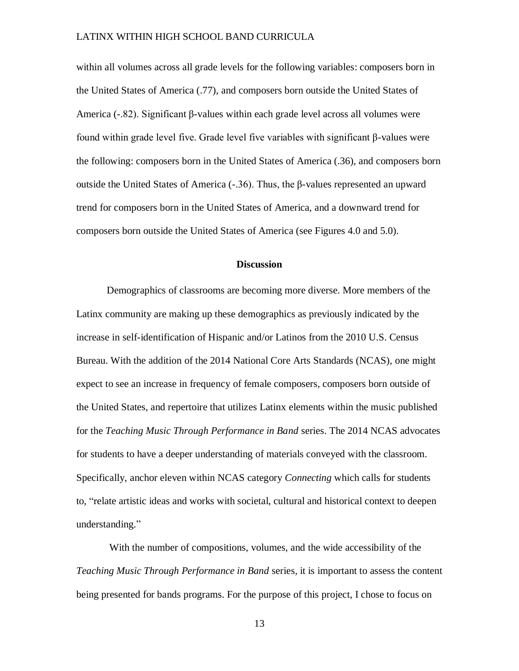within all volumes across all grade levels for the following variables: composers born in the United States of America (.77), and composers born outside the United States of America (-.82). Significant β-values within each grade level across all volumes were found within grade level five. Grade level five variables with significant β-values were the following: composers born in the United States of America (.36), and composers born outside the United States of America (-.36). Thus, the β-values represented an upward trend for composers born in the United States of America, and a downward trend for composers born outside the United States of America (see Figures 4.0 and 5.0).

#### **Discussion**

<span id="page-20-0"></span>Demographics of classrooms are becoming more diverse. More members of the Latinx community are making up these demographics as previously indicated by the increase in self-identification of Hispanic and/or Latinos from the 2010 U.S. Census Bureau. With the addition of the 2014 National Core Arts Standards (NCAS), one might expect to see an increase in frequency of female composers, composers born outside of the United States, and repertoire that utilizes Latinx elements within the music published for the *Teaching Music Through Performance in Band* series. The 2014 NCAS advocates for students to have a deeper understanding of materials conveyed with the classroom. Specifically, anchor eleven within NCAS category *Connecting* which calls for students to, "relate artistic ideas and works with societal, cultural and historical context to deepen understanding."

With the number of compositions, volumes, and the wide accessibility of the *Teaching Music Through Performance in Band* series*,* it is important to assess the content being presented for bands programs. For the purpose of this project, I chose to focus on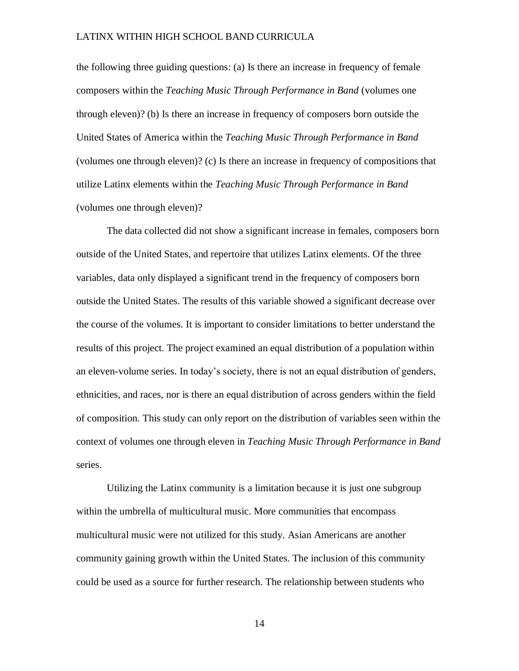the following three guiding questions: (a) Is there an increase in frequency of female composers within the *Teaching Music Through Performance in Band* (volumes one through eleven)? (b) Is there an increase in frequency of composers born outside the United States of America within the *Teaching Music Through Performance in Band* (volumes one through eleven)? (c) Is there an increase in frequency of compositions that utilize Latinx elements within the *Teaching Music Through Performance in Band* (volumes one through eleven)?

The data collected did not show a significant increase in females, composers born outside of the United States, and repertoire that utilizes Latinx elements. Of the three variables, data only displayed a significant trend in the frequency of composers born outside the United States. The results of this variable showed a significant decrease over the course of the volumes. It is important to consider limitations to better understand the results of this project. The project examined an equal distribution of a population within an eleven-volume series. In today's society, there is not an equal distribution of genders, ethnicities, and races, nor is there an equal distribution of across genders within the field of composition. This study can only report on the distribution of variables seen within the context of volumes one through eleven in *Teaching Music Through Performance in Band* series.

Utilizing the Latinx community is a limitation because it is just one subgroup within the umbrella of multicultural music. More communities that encompass multicultural music were not utilized for this study. Asian Americans are another community gaining growth within the United States. The inclusion of this community could be used as a source for further research. The relationship between students who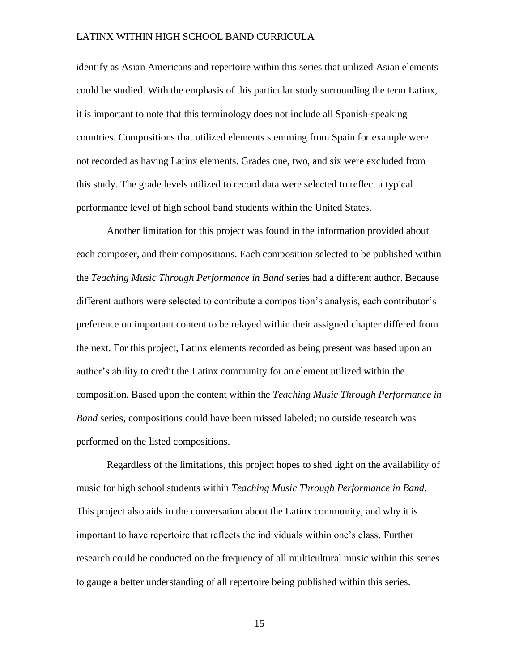identify as Asian Americans and repertoire within this series that utilized Asian elements could be studied. With the emphasis of this particular study surrounding the term Latinx, it is important to note that this terminology does not include all Spanish-speaking countries. Compositions that utilized elements stemming from Spain for example were not recorded as having Latinx elements. Grades one, two, and six were excluded from this study. The grade levels utilized to record data were selected to reflect a typical performance level of high school band students within the United States.

Another limitation for this project was found in the information provided about each composer, and their compositions. Each composition selected to be published within the *Teaching Music Through Performance in Band* series had a different author. Because different authors were selected to contribute a composition's analysis, each contributor's preference on important content to be relayed within their assigned chapter differed from the next. For this project, Latinx elements recorded as being present was based upon an author's ability to credit the Latinx community for an element utilized within the composition. Based upon the content within the *Teaching Music Through Performance in Band* series, compositions could have been missed labeled; no outside research was performed on the listed compositions.

Regardless of the limitations, this project hopes to shed light on the availability of music for high school students within *Teaching Music Through Performance in Band*. This project also aids in the conversation about the Latinx community, and why it is important to have repertoire that reflects the individuals within one's class. Further research could be conducted on the frequency of all multicultural music within this series to gauge a better understanding of all repertoire being published within this series.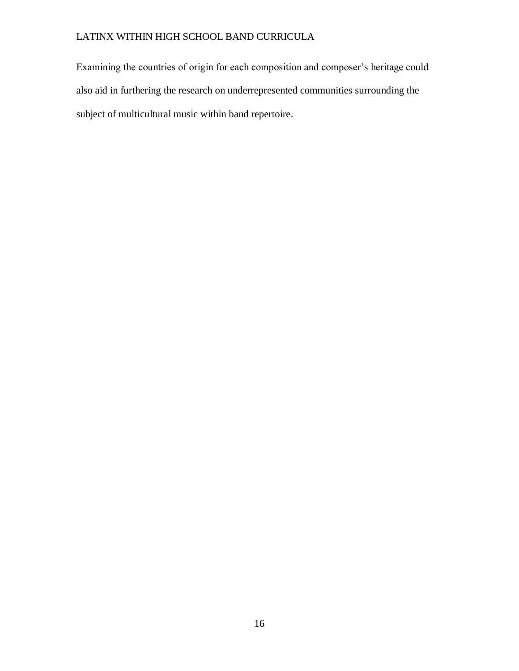Examining the countries of origin for each composition and composer's heritage could also aid in furthering the research on underrepresented communities surrounding the subject of multicultural music within band repertoire.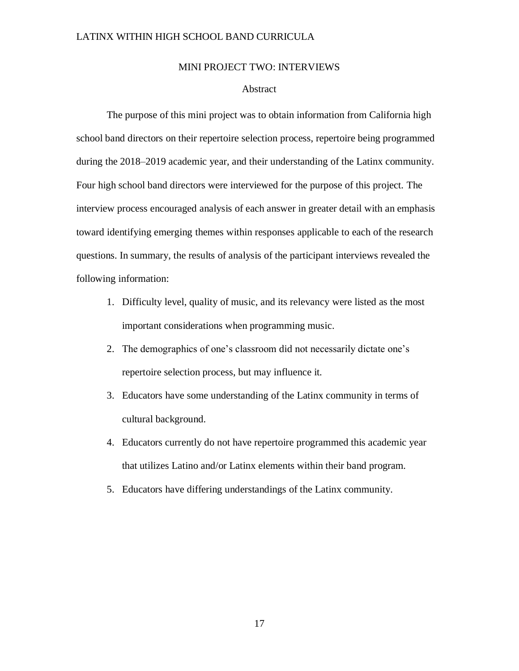#### MINI PROJECT TWO: INTERVIEWS

#### Abstract

<span id="page-24-1"></span><span id="page-24-0"></span>The purpose of this mini project was to obtain information from California high school band directors on their repertoire selection process, repertoire being programmed during the 2018–2019 academic year, and their understanding of the Latinx community. Four high school band directors were interviewed for the purpose of this project. The interview process encouraged analysis of each answer in greater detail with an emphasis toward identifying emerging themes within responses applicable to each of the research questions. In summary, the results of analysis of the participant interviews revealed the following information:

- 1. Difficulty level, quality of music, and its relevancy were listed as the most important considerations when programming music.
- 2. The demographics of one's classroom did not necessarily dictate one's repertoire selection process, but may influence it.
- 3. Educators have some understanding of the Latinx community in terms of cultural background.
- 4. Educators currently do not have repertoire programmed this academic year that utilizes Latino and/or Latinx elements within their band program.
- 5. Educators have differing understandings of the Latinx community.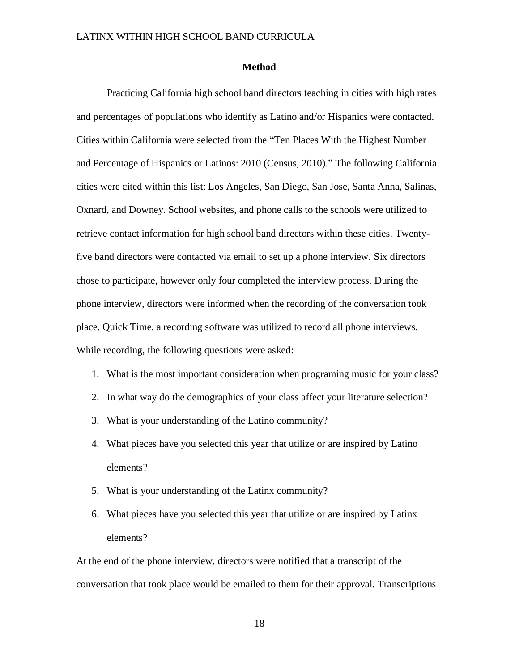#### **Method**

<span id="page-25-0"></span>Practicing California high school band directors teaching in cities with high rates and percentages of populations who identify as Latino and/or Hispanics were contacted. Cities within California were selected from the "Ten Places With the Highest Number and Percentage of Hispanics or Latinos: 2010 (Census, 2010)." The following California cities were cited within this list: Los Angeles, San Diego, San Jose, Santa Anna, Salinas, Oxnard, and Downey. School websites, and phone calls to the schools were utilized to retrieve contact information for high school band directors within these cities. Twentyfive band directors were contacted via email to set up a phone interview. Six directors chose to participate, however only four completed the interview process. During the phone interview, directors were informed when the recording of the conversation took place. Quick Time, a recording software was utilized to record all phone interviews. While recording, the following questions were asked:

- 1. What is the most important consideration when programing music for your class?
- 2. In what way do the demographics of your class affect your literature selection?
- 3. What is your understanding of the Latino community?
- 4. What pieces have you selected this year that utilize or are inspired by Latino elements?
- 5. What is your understanding of the Latinx community?
- 6. What pieces have you selected this year that utilize or are inspired by Latinx elements?

At the end of the phone interview, directors were notified that a transcript of the conversation that took place would be emailed to them for their approval. Transcriptions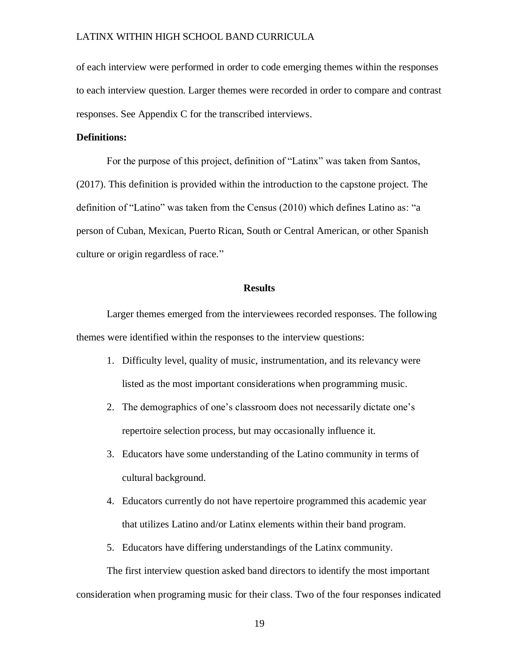of each interview were performed in order to code emerging themes within the responses to each interview question. Larger themes were recorded in order to compare and contrast responses. See Appendix C for the transcribed interviews.

#### **Definitions:**

For the purpose of this project, definition of "Latinx" was taken from Santos, (2017). This definition is provided within the introduction to the capstone project. The definition of "Latino" was taken from the Census (2010) which defines Latino as: "a person of Cuban, Mexican, Puerto Rican, South or Central American, or other Spanish culture or origin regardless of race."

#### **Results**

<span id="page-26-0"></span>Larger themes emerged from the interviewees recorded responses. The following themes were identified within the responses to the interview questions:

- 1. Difficulty level, quality of music, instrumentation, and its relevancy were listed as the most important considerations when programming music.
- 2. The demographics of one's classroom does not necessarily dictate one's repertoire selection process, but may occasionally influence it.
- 3. Educators have some understanding of the Latino community in terms of cultural background.
- 4. Educators currently do not have repertoire programmed this academic year that utilizes Latino and/or Latinx elements within their band program.
- 5. Educators have differing understandings of the Latinx community.

The first interview question asked band directors to identify the most important consideration when programing music for their class. Two of the four responses indicated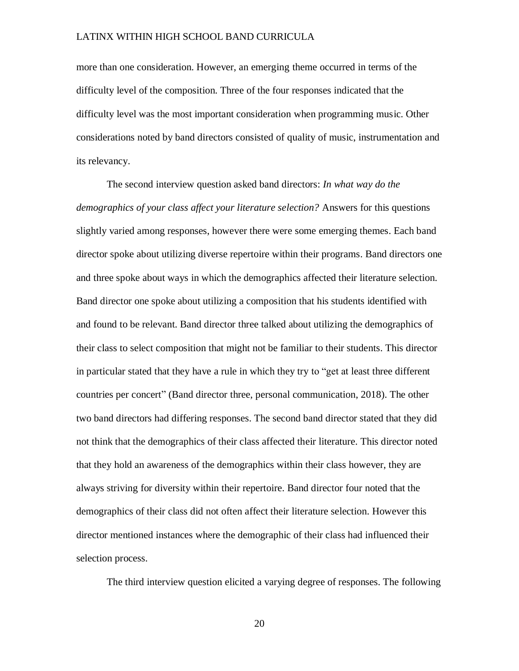more than one consideration. However, an emerging theme occurred in terms of the difficulty level of the composition. Three of the four responses indicated that the difficulty level was the most important consideration when programming music. Other considerations noted by band directors consisted of quality of music, instrumentation and its relevancy.

The second interview question asked band directors: *In what way do the demographics of your class affect your literature selection?* Answers for this questions slightly varied among responses, however there were some emerging themes. Each band director spoke about utilizing diverse repertoire within their programs. Band directors one and three spoke about ways in which the demographics affected their literature selection. Band director one spoke about utilizing a composition that his students identified with and found to be relevant. Band director three talked about utilizing the demographics of their class to select composition that might not be familiar to their students. This director in particular stated that they have a rule in which they try to "get at least three different countries per concert" (Band director three, personal communication, 2018). The other two band directors had differing responses. The second band director stated that they did not think that the demographics of their class affected their literature. This director noted that they hold an awareness of the demographics within their class however, they are always striving for diversity within their repertoire. Band director four noted that the demographics of their class did not often affect their literature selection. However this director mentioned instances where the demographic of their class had influenced their selection process.

The third interview question elicited a varying degree of responses. The following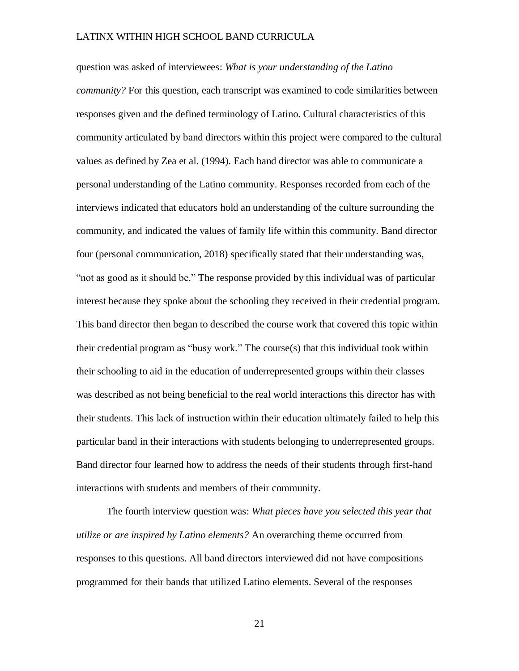question was asked of interviewees: *What is your understanding of the Latino community?* For this question, each transcript was examined to code similarities between responses given and the defined terminology of Latino. Cultural characteristics of this community articulated by band directors within this project were compared to the cultural values as defined by Zea et al. (1994). Each band director was able to communicate a personal understanding of the Latino community. Responses recorded from each of the interviews indicated that educators hold an understanding of the culture surrounding the community, and indicated the values of family life within this community. Band director four (personal communication, 2018) specifically stated that their understanding was, "not as good as it should be." The response provided by this individual was of particular interest because they spoke about the schooling they received in their credential program. This band director then began to described the course work that covered this topic within their credential program as "busy work." The course $(s)$  that this individual took within their schooling to aid in the education of underrepresented groups within their classes was described as not being beneficial to the real world interactions this director has with their students. This lack of instruction within their education ultimately failed to help this particular band in their interactions with students belonging to underrepresented groups. Band director four learned how to address the needs of their students through first-hand interactions with students and members of their community.

The fourth interview question was: *What pieces have you selected this year that utilize or are inspired by Latino elements?* An overarching theme occurred from responses to this questions. All band directors interviewed did not have compositions programmed for their bands that utilized Latino elements. Several of the responses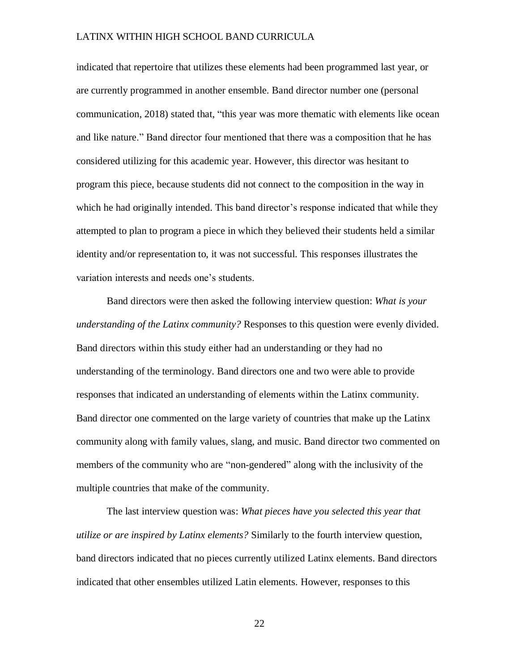indicated that repertoire that utilizes these elements had been programmed last year, or are currently programmed in another ensemble. Band director number one (personal communication, 2018) stated that, "this year was more thematic with elements like ocean and like nature." Band director four mentioned that there was a composition that he has considered utilizing for this academic year. However, this director was hesitant to program this piece, because students did not connect to the composition in the way in which he had originally intended. This band director's response indicated that while they attempted to plan to program a piece in which they believed their students held a similar identity and/or representation to, it was not successful. This responses illustrates the variation interests and needs one's students.

Band directors were then asked the following interview question: *What is your understanding of the Latinx community?* Responses to this question were evenly divided. Band directors within this study either had an understanding or they had no understanding of the terminology. Band directors one and two were able to provide responses that indicated an understanding of elements within the Latinx community. Band director one commented on the large variety of countries that make up the Latinx community along with family values, slang, and music. Band director two commented on members of the community who are "non-gendered" along with the inclusivity of the multiple countries that make of the community.

The last interview question was: *What pieces have you selected this year that utilize or are inspired by Latinx elements?* Similarly to the fourth interview question, band directors indicated that no pieces currently utilized Latinx elements. Band directors indicated that other ensembles utilized Latin elements. However, responses to this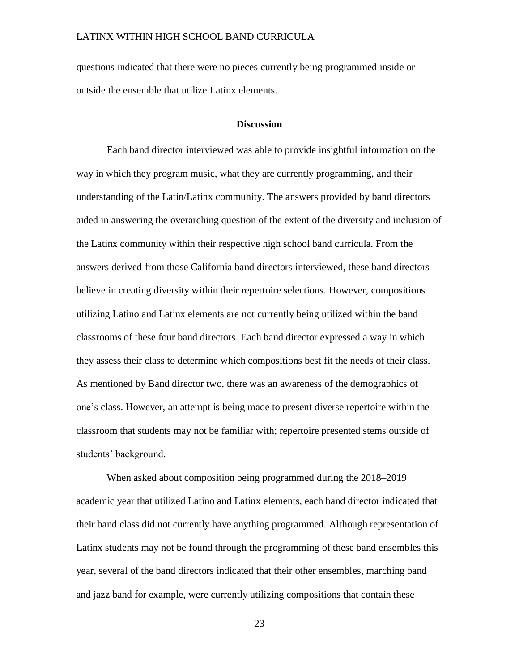questions indicated that there were no pieces currently being programmed inside or outside the ensemble that utilize Latinx elements.

#### **Discussion**

<span id="page-30-0"></span>Each band director interviewed was able to provide insightful information on the way in which they program music, what they are currently programming, and their understanding of the Latin/Latinx community. The answers provided by band directors aided in answering the overarching question of the extent of the diversity and inclusion of the Latinx community within their respective high school band curricula. From the answers derived from those California band directors interviewed, these band directors believe in creating diversity within their repertoire selections. However, compositions utilizing Latino and Latinx elements are not currently being utilized within the band classrooms of these four band directors. Each band director expressed a way in which they assess their class to determine which compositions best fit the needs of their class. As mentioned by Band director two, there was an awareness of the demographics of one's class. However, an attempt is being made to present diverse repertoire within the classroom that students may not be familiar with; repertoire presented stems outside of students' background.

When asked about composition being programmed during the 2018–2019 academic year that utilized Latino and Latinx elements, each band director indicated that their band class did not currently have anything programmed. Although representation of Latinx students may not be found through the programming of these band ensembles this year, several of the band directors indicated that their other ensembles, marching band and jazz band for example, were currently utilizing compositions that contain these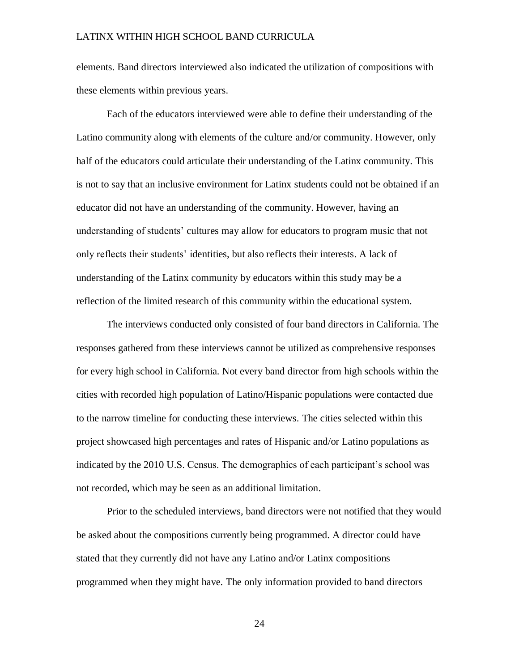elements. Band directors interviewed also indicated the utilization of compositions with these elements within previous years.

Each of the educators interviewed were able to define their understanding of the Latino community along with elements of the culture and/or community. However, only half of the educators could articulate their understanding of the Latinx community. This is not to say that an inclusive environment for Latinx students could not be obtained if an educator did not have an understanding of the community. However, having an understanding of students' cultures may allow for educators to program music that not only reflects their students' identities, but also reflects their interests. A lack of understanding of the Latinx community by educators within this study may be a reflection of the limited research of this community within the educational system.

The interviews conducted only consisted of four band directors in California. The responses gathered from these interviews cannot be utilized as comprehensive responses for every high school in California. Not every band director from high schools within the cities with recorded high population of Latino/Hispanic populations were contacted due to the narrow timeline for conducting these interviews. The cities selected within this project showcased high percentages and rates of Hispanic and/or Latino populations as indicated by the 2010 U.S. Census. The demographics of each participant's school was not recorded, which may be seen as an additional limitation.

Prior to the scheduled interviews, band directors were not notified that they would be asked about the compositions currently being programmed. A director could have stated that they currently did not have any Latino and/or Latinx compositions programmed when they might have. The only information provided to band directors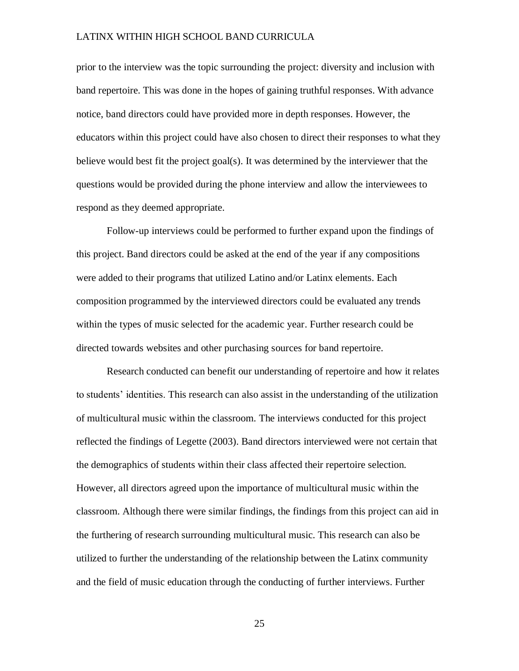prior to the interview was the topic surrounding the project: diversity and inclusion with band repertoire. This was done in the hopes of gaining truthful responses. With advance notice, band directors could have provided more in depth responses. However, the educators within this project could have also chosen to direct their responses to what they believe would best fit the project goal(s). It was determined by the interviewer that the questions would be provided during the phone interview and allow the interviewees to respond as they deemed appropriate.

Follow-up interviews could be performed to further expand upon the findings of this project. Band directors could be asked at the end of the year if any compositions were added to their programs that utilized Latino and/or Latinx elements. Each composition programmed by the interviewed directors could be evaluated any trends within the types of music selected for the academic year. Further research could be directed towards websites and other purchasing sources for band repertoire.

Research conducted can benefit our understanding of repertoire and how it relates to students' identities. This research can also assist in the understanding of the utilization of multicultural music within the classroom. The interviews conducted for this project reflected the findings of Legette (2003). Band directors interviewed were not certain that the demographics of students within their class affected their repertoire selection. However, all directors agreed upon the importance of multicultural music within the classroom. Although there were similar findings, the findings from this project can aid in the furthering of research surrounding multicultural music. This research can also be utilized to further the understanding of the relationship between the Latinx community and the field of music education through the conducting of further interviews. Further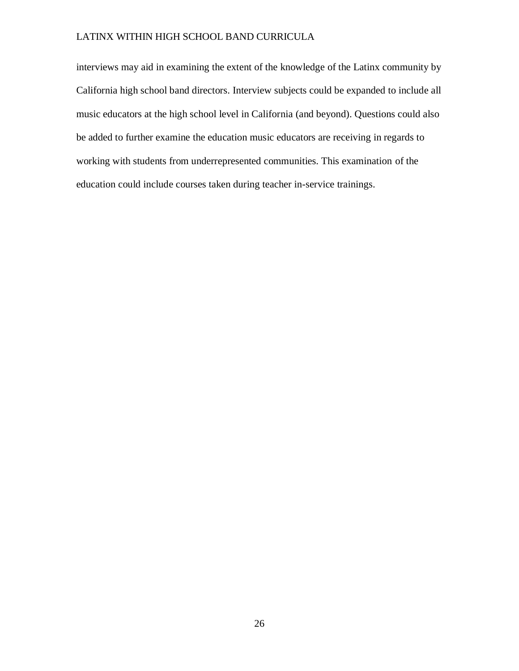interviews may aid in examining the extent of the knowledge of the Latinx community by California high school band directors. Interview subjects could be expanded to include all music educators at the high school level in California (and beyond). Questions could also be added to further examine the education music educators are receiving in regards to working with students from underrepresented communities. This examination of the education could include courses taken during teacher in-service trainings.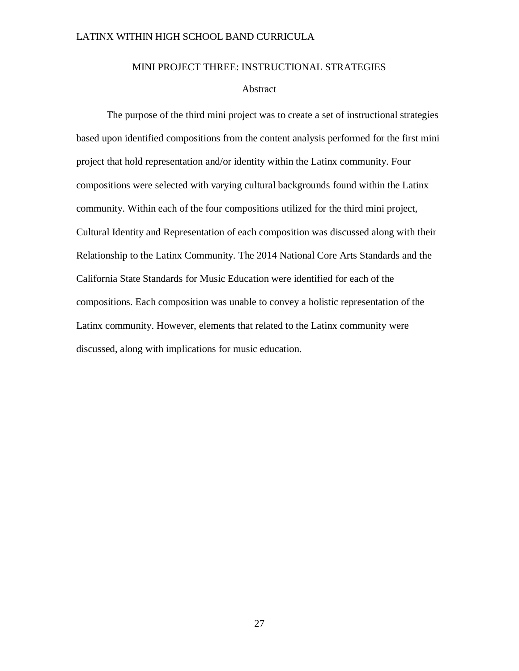#### MINI PROJECT THREE: INSTRUCTIONAL STRATEGIES

#### Abstract

<span id="page-34-1"></span><span id="page-34-0"></span>The purpose of the third mini project was to create a set of instructional strategies based upon identified compositions from the content analysis performed for the first mini project that hold representation and/or identity within the Latinx community. Four compositions were selected with varying cultural backgrounds found within the Latinx community. Within each of the four compositions utilized for the third mini project, Cultural Identity and Representation of each composition was discussed along with their Relationship to the Latinx Community. The 2014 National Core Arts Standards and the California State Standards for Music Education were identified for each of the compositions. Each composition was unable to convey a holistic representation of the Latinx community. However, elements that related to the Latinx community were discussed, along with implications for music education.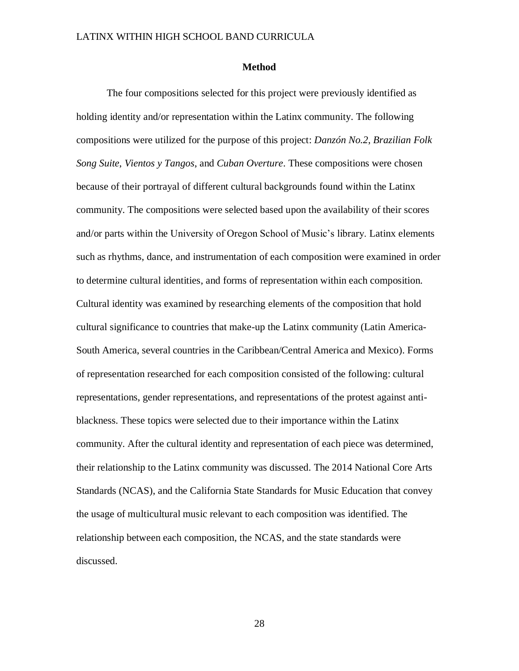#### **Method**

<span id="page-35-0"></span>The four compositions selected for this project were previously identified as holding identity and/or representation within the Latinx community. The following compositions were utilized for the purpose of this project: *Danzón No.2*, *Brazilian Folk Song Suite*, *Vientos y Tangos*, and *Cuban Overture*. These compositions were chosen because of their portrayal of different cultural backgrounds found within the Latinx community. The compositions were selected based upon the availability of their scores and/or parts within the University of Oregon School of Music's library. Latinx elements such as rhythms, dance, and instrumentation of each composition were examined in order to determine cultural identities, and forms of representation within each composition. Cultural identity was examined by researching elements of the composition that hold cultural significance to countries that make-up the Latinx community (Latin America-South America, several countries in the Caribbean/Central America and Mexico). Forms of representation researched for each composition consisted of the following: cultural representations, gender representations, and representations of the protest against antiblackness. These topics were selected due to their importance within the Latinx community. After the cultural identity and representation of each piece was determined, their relationship to the Latinx community was discussed. The 2014 National Core Arts Standards (NCAS), and the California State Standards for Music Education that convey the usage of multicultural music relevant to each composition was identified. The relationship between each composition, the NCAS, and the state standards were discussed.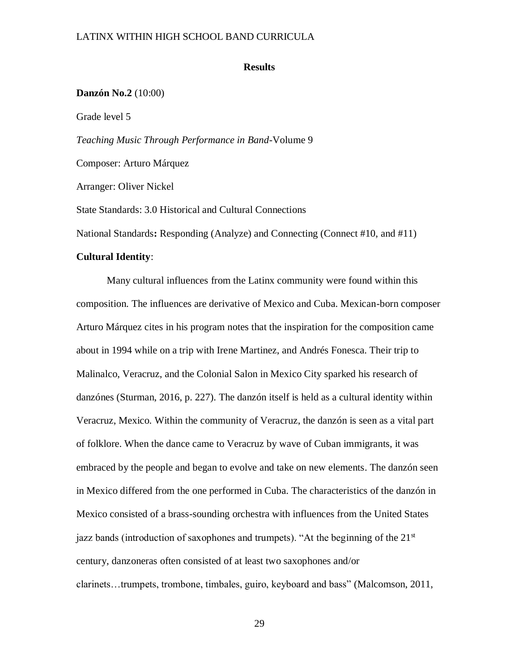#### **Results**

## **Danzón No.2** (10:00)

Grade level 5

*Teaching Music Through Performance in Band*-Volume 9

Composer: Arturo Márquez

Arranger: Oliver Nickel

State Standards: 3.0 Historical and Cultural Connections

National Standards**:** Responding (Analyze) and Connecting (Connect #10, and #11)

#### **Cultural Identity**:

Many cultural influences from the Latinx community were found within this composition. The influences are derivative of Mexico and Cuba. Mexican-born composer Arturo Márquez cites in his program notes that the inspiration for the composition came about in 1994 while on a trip with Irene Martinez, and Andrés Fonesca. Their trip to Malinalco, Veracruz, and the Colonial Salon in Mexico City sparked his research of danzónes (Sturman, 2016, p. 227). The danzón itself is held as a cultural identity within Veracruz, Mexico. Within the community of Veracruz, the danzón is seen as a vital part of folklore. When the dance came to Veracruz by wave of Cuban immigrants, it was embraced by the people and began to evolve and take on new elements. The danzón seen in Mexico differed from the one performed in Cuba. The characteristics of the danzón in Mexico consisted of a brass-sounding orchestra with influences from the United States jazz bands (introduction of saxophones and trumpets). "At the beginning of the  $21<sup>st</sup>$ century, danzoneras often consisted of at least two saxophones and/or clarinets…trumpets, trombone, timbales, guiro, keyboard and bass" (Malcomson, 2011,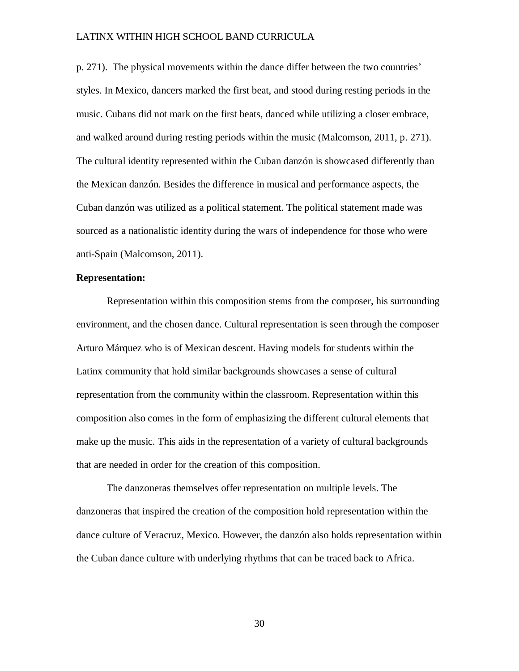p. 271). The physical movements within the dance differ between the two countries' styles. In Mexico, dancers marked the first beat, and stood during resting periods in the music. Cubans did not mark on the first beats, danced while utilizing a closer embrace, and walked around during resting periods within the music (Malcomson, 2011, p. 271). The cultural identity represented within the Cuban danzón is showcased differently than the Mexican danzón. Besides the difference in musical and performance aspects, the Cuban danzón was utilized as a political statement. The political statement made was sourced as a nationalistic identity during the wars of independence for those who were anti-Spain (Malcomson, 2011).

#### **Representation:**

Representation within this composition stems from the composer, his surrounding environment, and the chosen dance. Cultural representation is seen through the composer Arturo Márquez who is of Mexican descent. Having models for students within the Latinx community that hold similar backgrounds showcases a sense of cultural representation from the community within the classroom. Representation within this composition also comes in the form of emphasizing the different cultural elements that make up the music. This aids in the representation of a variety of cultural backgrounds that are needed in order for the creation of this composition.

The danzoneras themselves offer representation on multiple levels. The danzoneras that inspired the creation of the composition hold representation within the dance culture of Veracruz, Mexico. However, the danzón also holds representation within the Cuban dance culture with underlying rhythms that can be traced back to Africa.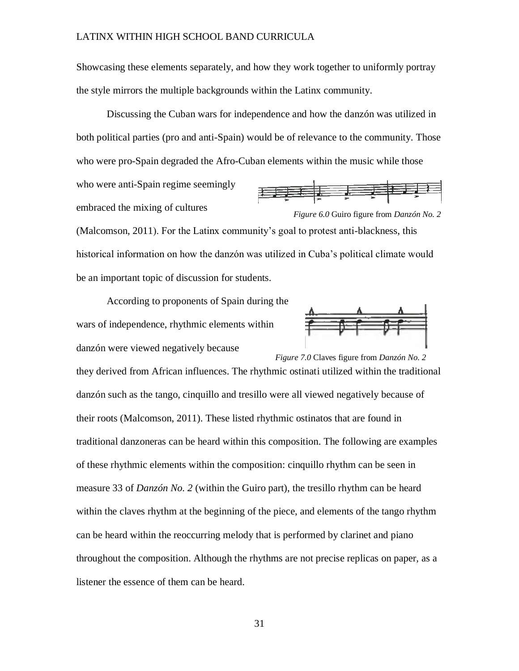Showcasing these elements separately, and how they work together to uniformly portray the style mirrors the multiple backgrounds within the Latinx community.

Discussing the Cuban wars for independence and how the danzón was utilized in both political parties (pro and anti-Spain) would be of relevance to the community. Those who were pro-Spain degraded the Afro-Cuban elements within the music while those

who were anti-Spain regime seemingly embraced the mixing of cultures





(Malcomson, 2011). For the Latinx community's goal to protest anti-blackness, this historical information on how the danzón was utilized in Cuba's political climate would be an important topic of discussion for students.

According to proponents of Spain during the wars of independence, rhythmic elements within danzón were viewed negatively because



they derived from African influences. The rhythmic ostinati utilized within the traditional *Figure 7.0* Claves figure from *Danzón No. 2*

danzón such as the tango, cinquillo and tresillo were all viewed negatively because of their roots (Malcomson, 2011). These listed rhythmic ostinatos that are found in traditional danzoneras can be heard within this composition. The following are examples of these rhythmic elements within the composition: cinquillo rhythm can be seen in measure 33 of *Danzón No. 2* (within the Guiro part), the tresillo rhythm can be heard within the claves rhythm at the beginning of the piece, and elements of the tango rhythm can be heard within the reoccurring melody that is performed by clarinet and piano throughout the composition. Although the rhythms are not precise replicas on paper, as a listener the essence of them can be heard.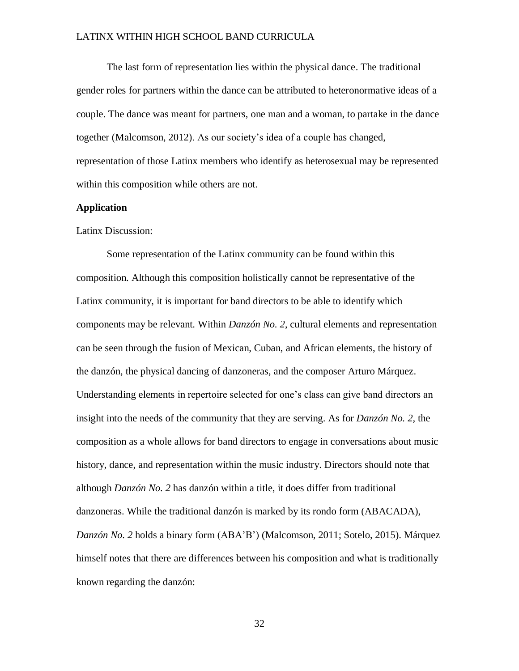The last form of representation lies within the physical dance. The traditional gender roles for partners within the dance can be attributed to heteronormative ideas of a couple. The dance was meant for partners, one man and a woman, to partake in the dance together (Malcomson, 2012). As our society's idea of a couple has changed, representation of those Latinx members who identify as heterosexual may be represented within this composition while others are not.

## **Application**

### Latinx Discussion:

Some representation of the Latinx community can be found within this composition. Although this composition holistically cannot be representative of the Latinx community, it is important for band directors to be able to identify which components may be relevant. Within *Danzón No. 2*, cultural elements and representation can be seen through the fusion of Mexican, Cuban, and African elements, the history of the danzón, the physical dancing of danzoneras, and the composer Arturo Márquez. Understanding elements in repertoire selected for one's class can give band directors an insight into the needs of the community that they are serving. As for *Danzón No. 2*, the composition as a whole allows for band directors to engage in conversations about music history, dance, and representation within the music industry. Directors should note that although *Danzón No. 2* has danzón within a title, it does differ from traditional danzoneras. While the traditional danzón is marked by its rondo form (ABACADA), *Danzón No. 2* holds a binary form (ABA'B') (Malcomson, 2011; Sotelo, 2015). Márquez himself notes that there are differences between his composition and what is traditionally known regarding the danzón: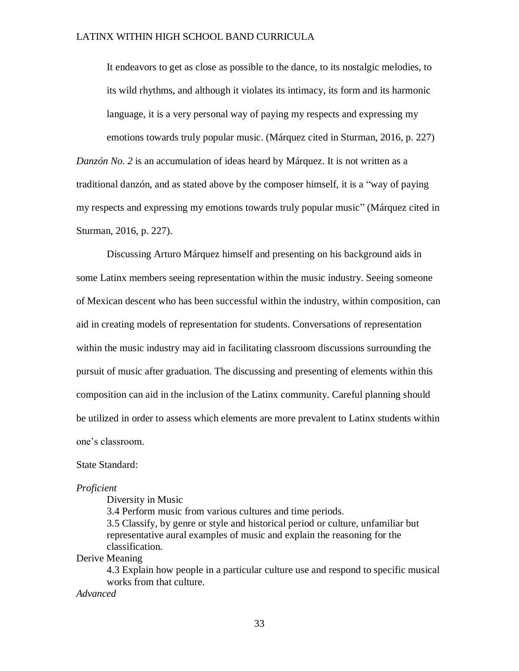It endeavors to get as close as possible to the dance, to its nostalgic melodies, to its wild rhythms, and although it violates its intimacy, its form and its harmonic language, it is a very personal way of paying my respects and expressing my emotions towards truly popular music. (Márquez cited in Sturman, 2016, p. 227) *Danzón No. 2* is an accumulation of ideas heard by Márquez. It is not written as a traditional danzón, and as stated above by the composer himself, it is a "way of paying my respects and expressing my emotions towards truly popular music" (Márquez cited in Sturman, 2016, p. 227).

Discussing Arturo Márquez himself and presenting on his background aids in some Latinx members seeing representation within the music industry. Seeing someone of Mexican descent who has been successful within the industry, within composition, can aid in creating models of representation for students. Conversations of representation within the music industry may aid in facilitating classroom discussions surrounding the pursuit of music after graduation. The discussing and presenting of elements within this composition can aid in the inclusion of the Latinx community. Careful planning should be utilized in order to assess which elements are more prevalent to Latinx students within one's classroom.

State Standard:

#### *Proficient*

Diversity in Music

3.4 Perform music from various cultures and time periods. 3.5 Classify, by genre or style and historical period or culture, unfamiliar but representative aural examples of music and explain the reasoning for the classification.

Derive Meaning

4.3 Explain how people in a particular culture use and respond to specific musical works from that culture.

*Advanced*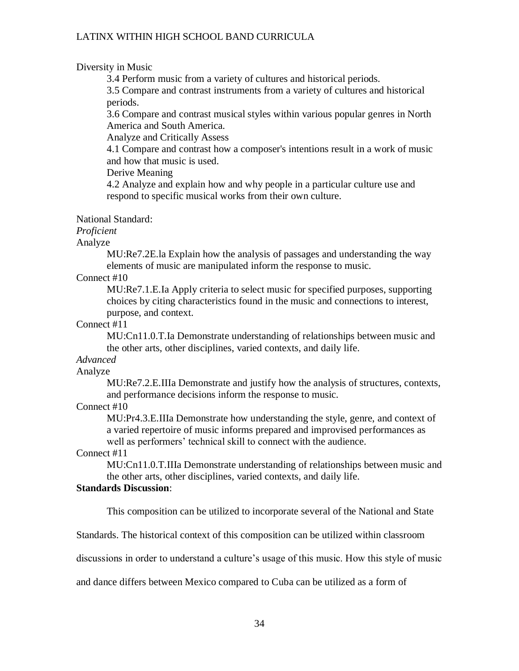## Diversity in Music

3.4 Perform music from a variety of cultures and historical periods.

3.5 Compare and contrast instruments from a variety of cultures and historical periods.

3.6 Compare and contrast musical styles within various popular genres in North America and South America.

Analyze and Critically Assess

4.1 Compare and contrast how a composer's intentions result in a work of music and how that music is used.

Derive Meaning

4.2 Analyze and explain how and why people in a particular culture use and respond to specific musical works from their own culture.

National Standard:

## *Proficient*

Analyze

MU:Re7.2E.la Explain how the analysis of passages and understanding the way elements of music are manipulated inform the response to music.

## Connect #10

MU:Re7.1.E.Ia Apply criteria to select music for specified purposes, supporting choices by citing characteristics found in the music and connections to interest, purpose, and context.

## Connect #11

MU:Cn11.0.T.Ia Demonstrate understanding of relationships between music and the other arts, other disciplines, varied contexts, and daily life.

## *Advanced*

Analyze

MU:Re7.2.E.IIIa Demonstrate and justify how the analysis of structures, contexts, and performance decisions inform the response to music.

## Connect #10

MU:Pr4.3.E.IIIa Demonstrate how understanding the style, genre, and context of a varied repertoire of music informs prepared and improvised performances as well as performers' technical skill to connect with the audience.

## Connect #11

MU:Cn11.0.T.IIIa Demonstrate understanding of relationships between music and the other arts, other disciplines, varied contexts, and daily life.

# **Standards Discussion**:

This composition can be utilized to incorporate several of the National and State

Standards. The historical context of this composition can be utilized within classroom

discussions in order to understand a culture's usage of this music. How this style of music

and dance differs between Mexico compared to Cuba can be utilized as a form of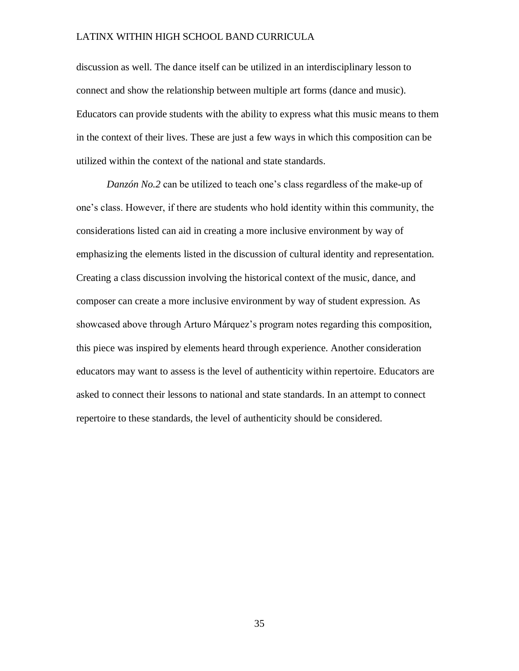discussion as well. The dance itself can be utilized in an interdisciplinary lesson to connect and show the relationship between multiple art forms (dance and music). Educators can provide students with the ability to express what this music means to them in the context of their lives. These are just a few ways in which this composition can be utilized within the context of the national and state standards.

*Danzón No.2* can be utilized to teach one's class regardless of the make-up of one's class. However, if there are students who hold identity within this community, the considerations listed can aid in creating a more inclusive environment by way of emphasizing the elements listed in the discussion of cultural identity and representation. Creating a class discussion involving the historical context of the music, dance, and composer can create a more inclusive environment by way of student expression. As showcased above through Arturo Márquez's program notes regarding this composition, this piece was inspired by elements heard through experience. Another consideration educators may want to assess is the level of authenticity within repertoire. Educators are asked to connect their lessons to national and state standards. In an attempt to connect repertoire to these standards, the level of authenticity should be considered.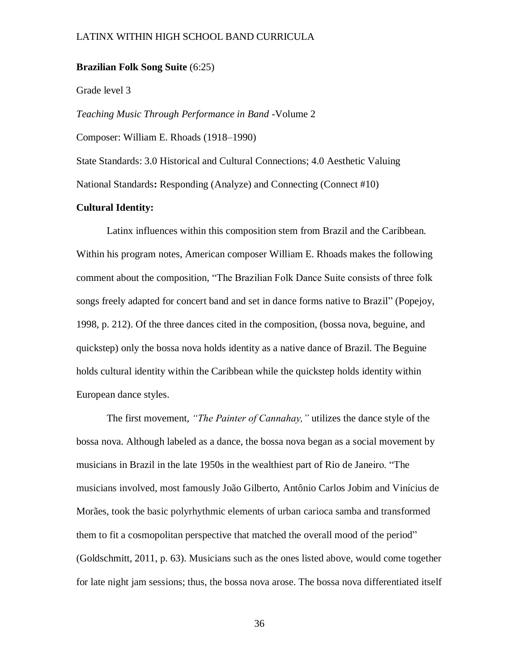## **Brazilian Folk Song Suite** (6:25)

#### Grade level 3

*Teaching Music Through Performance in Band* -Volume 2

Composer: William E. Rhoads (1918–1990)

State Standards: 3.0 Historical and Cultural Connections; 4.0 Aesthetic Valuing

National Standards**:** Responding (Analyze) and Connecting (Connect #10)

## **Cultural Identity:**

Latinx influences within this composition stem from Brazil and the Caribbean. Within his program notes, American composer William E. Rhoads makes the following comment about the composition, "The Brazilian Folk Dance Suite consists of three folk songs freely adapted for concert band and set in dance forms native to Brazil" (Popejoy, 1998, p. 212). Of the three dances cited in the composition, (bossa nova, beguine, and quickstep) only the bossa nova holds identity as a native dance of Brazil. The Beguine holds cultural identity within the Caribbean while the quickstep holds identity within European dance styles.

The first movement, *"The Painter of Cannahay,"* utilizes the dance style of the bossa nova. Although labeled as a dance, the bossa nova began as a social movement by musicians in Brazil in the late 1950s in the wealthiest part of Rio de Janeiro. "The musicians involved, most famously João Gilberto, Antônio Carlos Jobim and Vinícius de Morães, took the basic polyrhythmic elements of urban carioca samba and transformed them to fit a cosmopolitan perspective that matched the overall mood of the period" (Goldschmitt, 2011, p. 63). Musicians such as the ones listed above, would come together for late night jam sessions; thus, the bossa nova arose. The bossa nova differentiated itself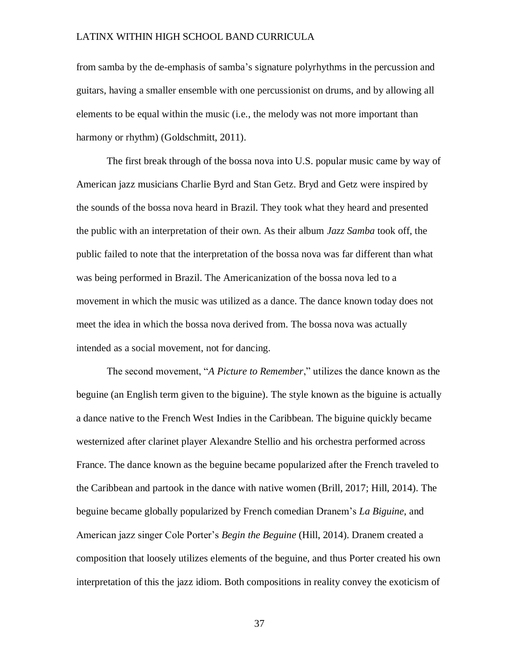from samba by the de-emphasis of samba's signature polyrhythms in the percussion and guitars, having a smaller ensemble with one percussionist on drums, and by allowing all elements to be equal within the music (i.e., the melody was not more important than harmony or rhythm) (Goldschmitt, 2011).

The first break through of the bossa nova into U.S. popular music came by way of American jazz musicians Charlie Byrd and Stan Getz. Bryd and Getz were inspired by the sounds of the bossa nova heard in Brazil. They took what they heard and presented the public with an interpretation of their own. As their album *Jazz Samba* took off, the public failed to note that the interpretation of the bossa nova was far different than what was being performed in Brazil. The Americanization of the bossa nova led to a movement in which the music was utilized as a dance. The dance known today does not meet the idea in which the bossa nova derived from. The bossa nova was actually intended as a social movement, not for dancing.

The second movement, "*A Picture to Remember*," utilizes the dance known as the beguine (an English term given to the biguine). The style known as the biguine is actually a dance native to the French West Indies in the Caribbean. The biguine quickly became westernized after clarinet player Alexandre Stellio and his orchestra performed across France. The dance known as the beguine became popularized after the French traveled to the Caribbean and partook in the dance with native women (Brill, 2017; Hill, 2014). The beguine became globally popularized by French comedian Dranem's *La Biguine*, and American jazz singer Cole Porter's *Begin the Beguine* (Hill, 2014). Dranem created a composition that loosely utilizes elements of the beguine, and thus Porter created his own interpretation of this the jazz idiom. Both compositions in reality convey the exoticism of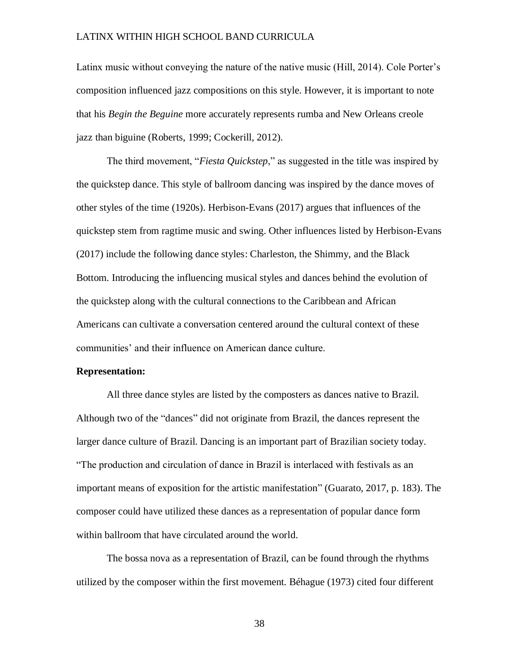Latinx music without conveying the nature of the native music (Hill, 2014). Cole Porter's composition influenced jazz compositions on this style. However, it is important to note that his *Begin the Beguine* more accurately represents rumba and New Orleans creole jazz than biguine (Roberts, 1999; Cockerill, 2012).

The third movement, "*Fiesta Quickstep*," as suggested in the title was inspired by the quickstep dance. This style of ballroom dancing was inspired by the dance moves of other styles of the time (1920s). Herbison-Evans (2017) argues that influences of the quickstep stem from ragtime music and swing. Other influences listed by Herbison-Evans (2017) include the following dance styles: Charleston, the Shimmy, and the Black Bottom. Introducing the influencing musical styles and dances behind the evolution of the quickstep along with the cultural connections to the Caribbean and African Americans can cultivate a conversation centered around the cultural context of these communities' and their influence on American dance culture.

#### **Representation:**

All three dance styles are listed by the composters as dances native to Brazil. Although two of the "dances" did not originate from Brazil, the dances represent the larger dance culture of Brazil. Dancing is an important part of Brazilian society today. "The production and circulation of dance in Brazil is interlaced with festivals as an important means of exposition for the artistic manifestation" (Guarato, 2017, p. 183). The composer could have utilized these dances as a representation of popular dance form within ballroom that have circulated around the world.

The bossa nova as a representation of Brazil, can be found through the rhythms utilized by the composer within the first movement. Béhague (1973) cited four different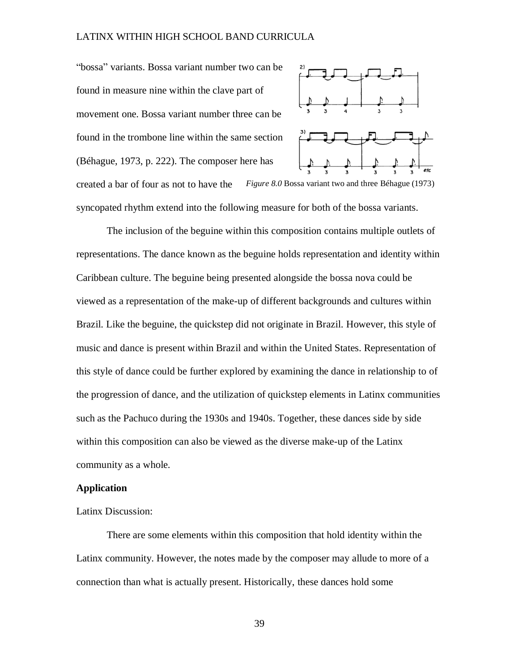"bossa" variants. Bossa variant number two can be found in measure nine within the clave part of movement one. Bossa variant number three can be found in the trombone line within the same section (Béhague, 1973, p. 222). The composer here has



created a bar of four as not to have the syncopated rhythm extend into the following measure for both of the bossa variants. *Figure 8.0* Bossa variant two and three Béhague (1973)

The inclusion of the beguine within this composition contains multiple outlets of representations. The dance known as the beguine holds representation and identity within Caribbean culture. The beguine being presented alongside the bossa nova could be viewed as a representation of the make-up of different backgrounds and cultures within Brazil. Like the beguine, the quickstep did not originate in Brazil. However, this style of music and dance is present within Brazil and within the United States. Representation of this style of dance could be further explored by examining the dance in relationship to of the progression of dance, and the utilization of quickstep elements in Latinx communities such as the Pachuco during the 1930s and 1940s. Together, these dances side by side within this composition can also be viewed as the diverse make-up of the Latinx community as a whole.

### **Application**

Latinx Discussion:

There are some elements within this composition that hold identity within the Latinx community. However, the notes made by the composer may allude to more of a connection than what is actually present. Historically, these dances hold some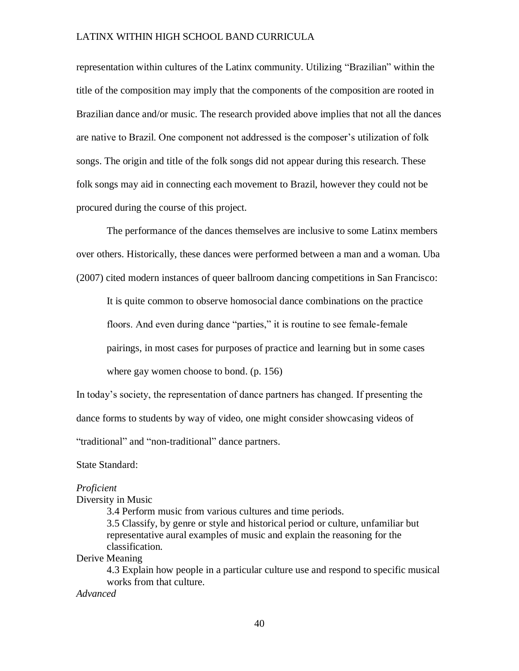representation within cultures of the Latinx community. Utilizing "Brazilian" within the title of the composition may imply that the components of the composition are rooted in Brazilian dance and/or music. The research provided above implies that not all the dances are native to Brazil. One component not addressed is the composer's utilization of folk songs. The origin and title of the folk songs did not appear during this research. These folk songs may aid in connecting each movement to Brazil, however they could not be procured during the course of this project.

The performance of the dances themselves are inclusive to some Latinx members over others. Historically, these dances were performed between a man and a woman. Uba (2007) cited modern instances of queer ballroom dancing competitions in San Francisco:

It is quite common to observe homosocial dance combinations on the practice floors. And even during dance "parties," it is routine to see female-female pairings, in most cases for purposes of practice and learning but in some cases

where gay women choose to bond. (p. 156)

In today's society, the representation of dance partners has changed. If presenting the dance forms to students by way of video, one might consider showcasing videos of "traditional" and "non-traditional" dance partners.

State Standard:

#### *Proficient*

Diversity in Music

3.4 Perform music from various cultures and time periods. 3.5 Classify, by genre or style and historical period or culture, unfamiliar but representative aural examples of music and explain the reasoning for the classification.

Derive Meaning

4.3 Explain how people in a particular culture use and respond to specific musical works from that culture.

*Advanced*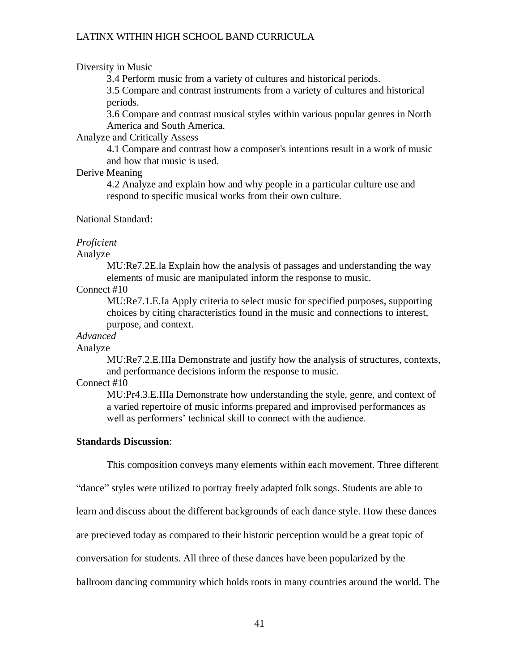### Diversity in Music

3.4 Perform music from a variety of cultures and historical periods.

3.5 Compare and contrast instruments from a variety of cultures and historical periods.

3.6 Compare and contrast musical styles within various popular genres in North America and South America.

## Analyze and Critically Assess

4.1 Compare and contrast how a composer's intentions result in a work of music and how that music is used.

## Derive Meaning

4.2 Analyze and explain how and why people in a particular culture use and respond to specific musical works from their own culture.

## National Standard:

### *Proficient*

Analyze

MU:Re7.2E.la Explain how the analysis of passages and understanding the way elements of music are manipulated inform the response to music.

Connect #10

MU:Re7.1.E.Ia Apply criteria to select music for specified purposes, supporting choices by citing characteristics found in the music and connections to interest, purpose, and context.

## *Advanced*

#### Analyze

MU:Re7.2.E.IIIa Demonstrate and justify how the analysis of structures, contexts, and performance decisions inform the response to music.

## Connect #10

MU:Pr4.3.E.IIIa Demonstrate how understanding the style, genre, and context of a varied repertoire of music informs prepared and improvised performances as well as performers' technical skill to connect with the audience.

#### **Standards Discussion**:

This composition conveys many elements within each movement. Three different

"dance" styles were utilized to portray freely adapted folk songs. Students are able to

learn and discuss about the different backgrounds of each dance style. How these dances

are precieved today as compared to their historic perception would be a great topic of

conversation for students. All three of these dances have been popularized by the

ballroom dancing community which holds roots in many countries around the world. The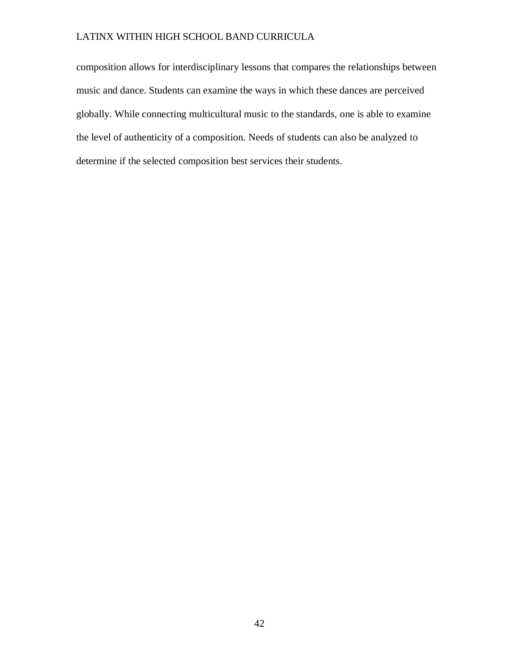composition allows for interdisciplinary lessons that compares the relationships between music and dance. Students can examine the ways in which these dances are perceived globally. While connecting multicultural music to the standards, one is able to examine the level of authenticity of a composition. Needs of students can also be analyzed to determine if the selected composition best services their students.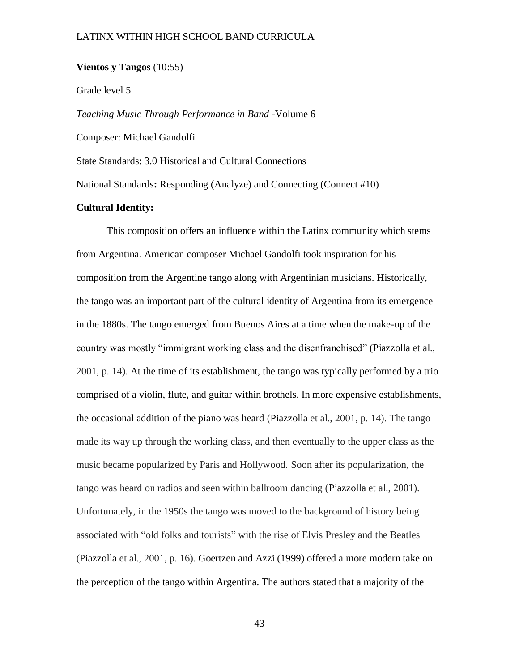## **Vientos y Tangos** (10:55)

Grade level 5

*Teaching Music Through Performance in Band* -Volume 6

Composer: Michael Gandolfi

State Standards: 3.0 Historical and Cultural Connections

National Standards**:** Responding (Analyze) and Connecting (Connect #10)

## **Cultural Identity:**

This composition offers an influence within the Latinx community which stems from Argentina. American composer Michael Gandolfi took inspiration for his composition from the Argentine tango along with Argentinian musicians. Historically, the tango was an important part of the cultural identity of Argentina from its emergence in the 1880s. The tango emerged from Buenos Aires at a time when the make-up of the country was mostly "immigrant working class and the disenfranchised" (Piazzolla et al., 2001, p. 14). At the time of its establishment, the tango was typically performed by a trio comprised of a violin, flute, and guitar within brothels. In more expensive establishments, the occasional addition of the piano was heard (Piazzolla et al., 2001, p. 14). The tango made its way up through the working class, and then eventually to the upper class as the music became popularized by Paris and Hollywood. Soon after its popularization, the tango was heard on radios and seen within ballroom dancing (Piazzolla et al., 2001). Unfortunately, in the 1950s the tango was moved to the background of history being associated with "old folks and tourists" with the rise of Elvis Presley and the Beatles (Piazzolla et al., 2001, p. 16). Goertzen and Azzi (1999) offered a more modern take on the perception of the tango within Argentina. The authors stated that a majority of the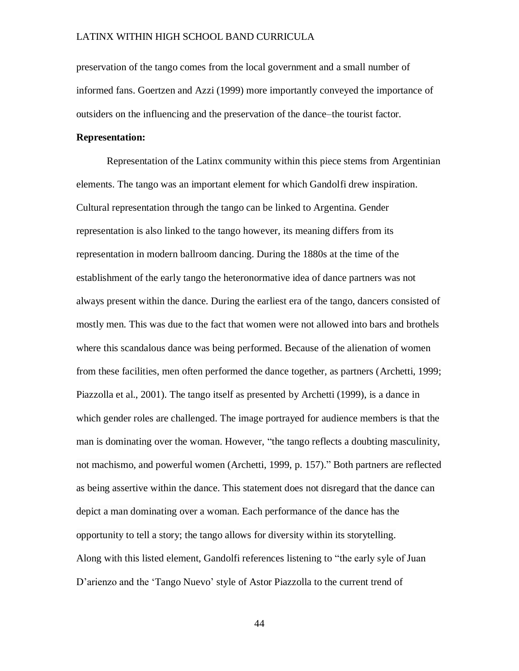preservation of the tango comes from the local government and a small number of informed fans. Goertzen and Azzi (1999) more importantly conveyed the importance of outsiders on the influencing and the preservation of the dance–the tourist factor.

## **Representation:**

Representation of the Latinx community within this piece stems from Argentinian elements. The tango was an important element for which Gandolfi drew inspiration. Cultural representation through the tango can be linked to Argentina. Gender representation is also linked to the tango however, its meaning differs from its representation in modern ballroom dancing. During the 1880s at the time of the establishment of the early tango the heteronormative idea of dance partners was not always present within the dance. During the earliest era of the tango, dancers consisted of mostly men. This was due to the fact that women were not allowed into bars and brothels where this scandalous dance was being performed. Because of the alienation of women from these facilities, men often performed the dance together, as partners (Archetti, 1999; Piazzolla et al., 2001). The tango itself as presented by Archetti (1999), is a dance in which gender roles are challenged. The image portrayed for audience members is that the man is dominating over the woman. However, "the tango reflects a doubting masculinity, not machismo, and powerful women (Archetti, 1999, p. 157)." Both partners are reflected as being assertive within the dance. This statement does not disregard that the dance can depict a man dominating over a woman. Each performance of the dance has the opportunity to tell a story; the tango allows for diversity within its storytelling. Along with this listed element, Gandolfi references listening to "the early syle of Juan D'arienzo and the 'Tango Nuevo' style of Astor Piazzolla to the current trend of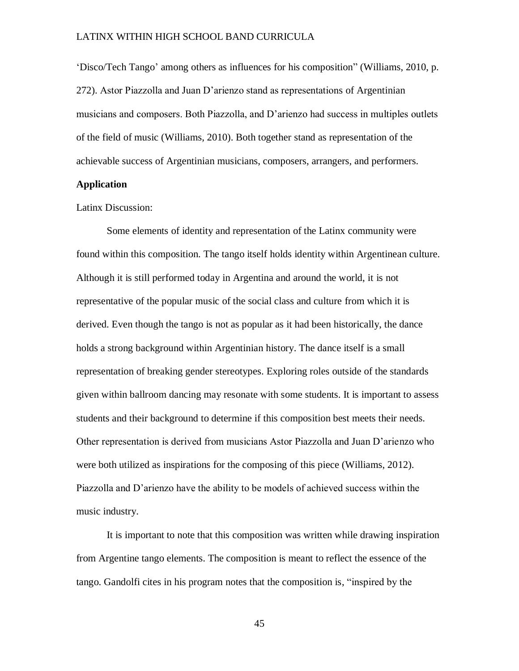'Disco/Tech Tango' among others as influences for his composition" (Williams, 2010, p. 272). Astor Piazzolla and Juan D'arienzo stand as representations of Argentinian musicians and composers. Both Piazzolla, and D'arienzo had success in multiples outlets of the field of music (Williams, 2010). Both together stand as representation of the achievable success of Argentinian musicians, composers, arrangers, and performers.

### **Application**

Latinx Discussion:

Some elements of identity and representation of the Latinx community were found within this composition. The tango itself holds identity within Argentinean culture. Although it is still performed today in Argentina and around the world, it is not representative of the popular music of the social class and culture from which it is derived. Even though the tango is not as popular as it had been historically, the dance holds a strong background within Argentinian history. The dance itself is a small representation of breaking gender stereotypes. Exploring roles outside of the standards given within ballroom dancing may resonate with some students. It is important to assess students and their background to determine if this composition best meets their needs. Other representation is derived from musicians Astor Piazzolla and Juan D'arienzo who were both utilized as inspirations for the composing of this piece (Williams, 2012). Piazzolla and D'arienzo have the ability to be models of achieved success within the music industry.

It is important to note that this composition was written while drawing inspiration from Argentine tango elements. The composition is meant to reflect the essence of the tango. Gandolfi cites in his program notes that the composition is, "inspired by the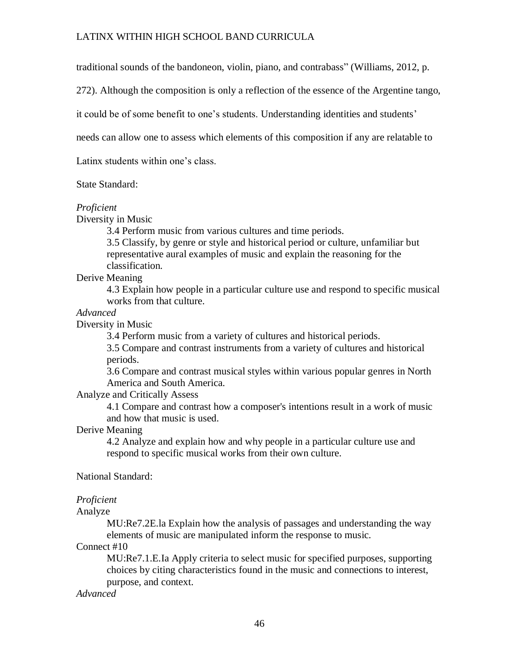traditional sounds of the bandoneon, violin, piano, and contrabass" (Williams, 2012, p.

272). Although the composition is only a reflection of the essence of the Argentine tango,

it could be of some benefit to one's students. Understanding identities and students'

needs can allow one to assess which elements of this composition if any are relatable to

Latinx students within one's class.

State Standard:

## *Proficient*

Diversity in Music

3.4 Perform music from various cultures and time periods.

3.5 Classify, by genre or style and historical period or culture, unfamiliar but representative aural examples of music and explain the reasoning for the classification.

Derive Meaning

4.3 Explain how people in a particular culture use and respond to specific musical works from that culture.

## *Advanced*

Diversity in Music

3.4 Perform music from a variety of cultures and historical periods.

3.5 Compare and contrast instruments from a variety of cultures and historical periods.

3.6 Compare and contrast musical styles within various popular genres in North America and South America.

Analyze and Critically Assess

4.1 Compare and contrast how a composer's intentions result in a work of music and how that music is used.

Derive Meaning

4.2 Analyze and explain how and why people in a particular culture use and respond to specific musical works from their own culture.

National Standard:

## *Proficient*

Analyze

MU:Re7.2E.la Explain how the analysis of passages and understanding the way elements of music are manipulated inform the response to music.

## Connect #10

MU:Re7.1.E.Ia Apply criteria to select music for specified purposes, supporting choices by citing characteristics found in the music and connections to interest, purpose, and context.

*Advanced*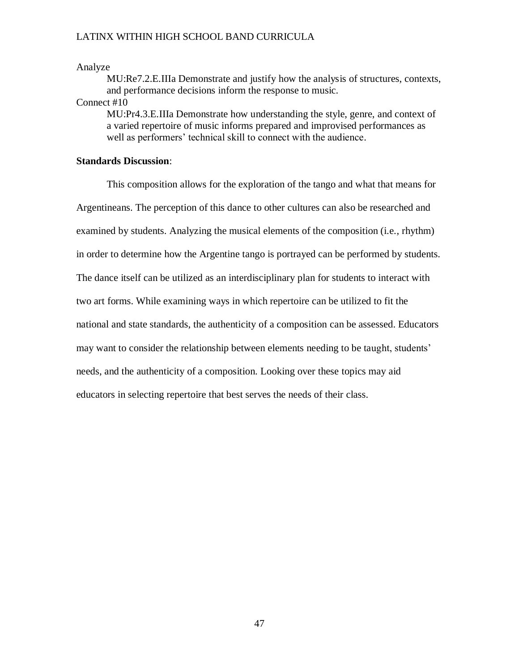## Analyze

MU:Re7.2.E.IIIa Demonstrate and justify how the analysis of structures, contexts, and performance decisions inform the response to music.

### Connect #10

MU:Pr4.3.E.IIIa Demonstrate how understanding the style, genre, and context of a varied repertoire of music informs prepared and improvised performances as well as performers' technical skill to connect with the audience.

## **Standards Discussion**:

This composition allows for the exploration of the tango and what that means for Argentineans. The perception of this dance to other cultures can also be researched and examined by students. Analyzing the musical elements of the composition (i.e., rhythm) in order to determine how the Argentine tango is portrayed can be performed by students. The dance itself can be utilized as an interdisciplinary plan for students to interact with two art forms. While examining ways in which repertoire can be utilized to fit the national and state standards, the authenticity of a composition can be assessed. Educators may want to consider the relationship between elements needing to be taught, students' needs, and the authenticity of a composition. Looking over these topics may aid educators in selecting repertoire that best serves the needs of their class.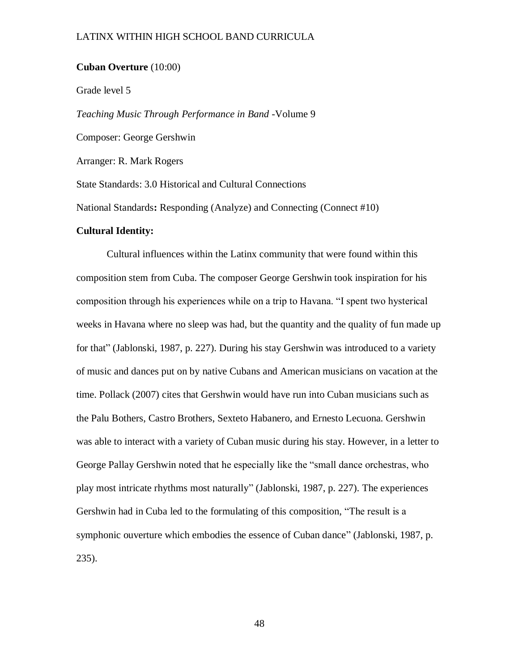## **Cuban Overture** (10:00)

Grade level 5

*Teaching Music Through Performance in Band* -Volume 9

Composer: George Gershwin

Arranger: R. Mark Rogers

State Standards: 3.0 Historical and Cultural Connections

National Standards**:** Responding (Analyze) and Connecting (Connect #10)

#### **Cultural Identity:**

Cultural influences within the Latinx community that were found within this composition stem from Cuba. The composer George Gershwin took inspiration for his composition through his experiences while on a trip to Havana. "I spent two hysterical weeks in Havana where no sleep was had, but the quantity and the quality of fun made up for that" (Jablonski, 1987, p. 227). During his stay Gershwin was introduced to a variety of music and dances put on by native Cubans and American musicians on vacation at the time. Pollack (2007) cites that Gershwin would have run into Cuban musicians such as the Palu Bothers, Castro Brothers, Sexteto Habanero, and Ernesto Lecuona. Gershwin was able to interact with a variety of Cuban music during his stay. However, in a letter to George Pallay Gershwin noted that he especially like the "small dance orchestras, who play most intricate rhythms most naturally" (Jablonski, 1987, p. 227). The experiences Gershwin had in Cuba led to the formulating of this composition, "The result is a symphonic ouverture which embodies the essence of Cuban dance" (Jablonski, 1987, p. 235).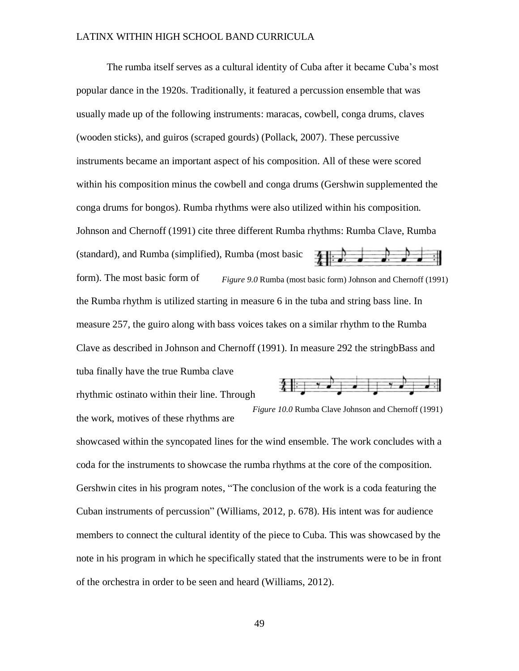The rumba itself serves as a cultural identity of Cuba after it became Cuba's most popular dance in the 1920s. Traditionally, it featured a percussion ensemble that was usually made up of the following instruments: maracas, cowbell, conga drums, claves (wooden sticks), and guiros (scraped gourds) (Pollack, 2007). These percussive instruments became an important aspect of his composition. All of these were scored within his composition minus the cowbell and conga drums (Gershwin supplemented the conga drums for bongos). Rumba rhythms were also utilized within his composition. Johnson and Chernoff (1991) cite three different Rumba rhythms: Rumba Clave, Rumba (standard), and Rumba (simplified), Rumba (most basic  $\rightarrow$   $\rightarrow$ form). The most basic form of *Figure 9.0* Rumba (most basic form) Johnson and Chernoff (1991) the Rumba rhythm is utilized starting in measure 6 in the tuba and string bass line. In measure 257, the guiro along with bass voices takes on a similar rhythm to the Rumba Clave as described in Johnson and Chernoff (1991). In measure 292 the stringbBass and tuba finally have the true Rumba clave

rhythmic ostinato within their line. Through the work, motives of these rhythms are



*Figure 10.0* Rumba Clave Johnson and Chernoff (1991)

showcased within the syncopated lines for the wind ensemble. The work concludes with a coda for the instruments to showcase the rumba rhythms at the core of the composition. Gershwin cites in his program notes, "The conclusion of the work is a coda featuring the Cuban instruments of percussion" (Williams, 2012, p. 678). His intent was for audience members to connect the cultural identity of the piece to Cuba. This was showcased by the note in his program in which he specifically stated that the instruments were to be in front of the orchestra in order to be seen and heard (Williams, 2012).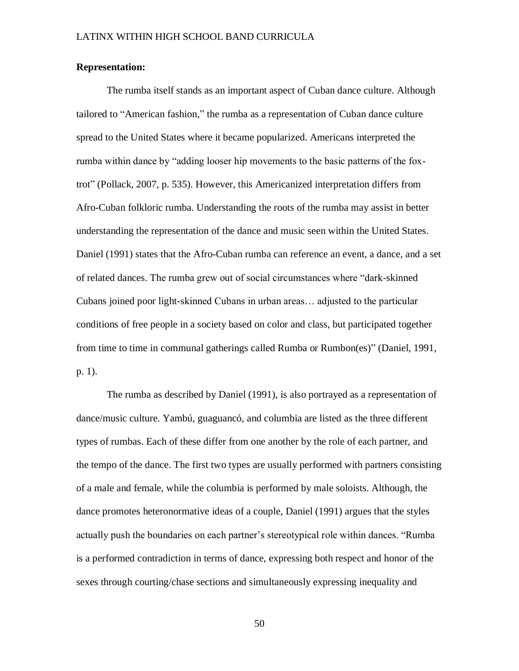## **Representation:**

The rumba itself stands as an important aspect of Cuban dance culture. Although tailored to "American fashion," the rumba as a representation of Cuban dance culture spread to the United States where it became popularized. Americans interpreted the rumba within dance by "adding looser hip movements to the basic patterns of the foxtrot" (Pollack, 2007, p. 535). However, this Americanized interpretation differs from Afro-Cuban folkloric rumba. Understanding the roots of the rumba may assist in better understanding the representation of the dance and music seen within the United States. Daniel (1991) states that the Afro-Cuban rumba can reference an event, a dance, and a set of related dances. The rumba grew out of social circumstances where "dark-skinned Cubans joined poor light-skinned Cubans in urban areas… adjusted to the particular conditions of free people in a society based on color and class, but participated together from time to time in communal gatherings called Rumba or Rumbon(es)" (Daniel, 1991, p. 1).

The rumba as described by Daniel (1991), is also portrayed as a representation of dance/music culture. Yambú, guaguancó, and columbia are listed as the three different types of rumbas. Each of these differ from one another by the role of each partner, and the tempo of the dance. The first two types are usually performed with partners consisting of a male and female, while the columbia is performed by male soloists. Although, the dance promotes heteronormative ideas of a couple, Daniel (1991) argues that the styles actually push the boundaries on each partner's stereotypical role within dances. "Rumba is a performed contradiction in terms of dance, expressing both respect and honor of the sexes through courting/chase sections and simultaneously expressing inequality and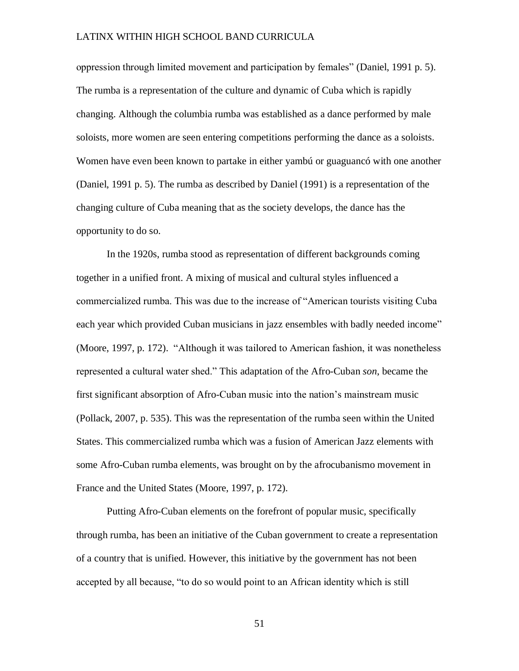oppression through limited movement and participation by females" (Daniel, 1991 p. 5). The rumba is a representation of the culture and dynamic of Cuba which is rapidly changing. Although the columbia rumba was established as a dance performed by male soloists, more women are seen entering competitions performing the dance as a soloists. Women have even been known to partake in either yambú or guaguancó with one another (Daniel, 1991 p. 5). The rumba as described by Daniel (1991) is a representation of the changing culture of Cuba meaning that as the society develops, the dance has the opportunity to do so.

In the 1920s, rumba stood as representation of different backgrounds coming together in a unified front. A mixing of musical and cultural styles influenced a commercialized rumba. This was due to the increase of "American tourists visiting Cuba each year which provided Cuban musicians in jazz ensembles with badly needed income" (Moore, 1997, p. 172). "Although it was tailored to American fashion, it was nonetheless represented a cultural water shed." This adaptation of the Afro-Cuban *son*, became the first significant absorption of Afro-Cuban music into the nation's mainstream music (Pollack, 2007, p. 535). This was the representation of the rumba seen within the United States. This commercialized rumba which was a fusion of American Jazz elements with some Afro-Cuban rumba elements, was brought on by the afrocubanismo movement in France and the United States (Moore, 1997, p. 172).

Putting Afro-Cuban elements on the forefront of popular music, specifically through rumba, has been an initiative of the Cuban government to create a representation of a country that is unified. However, this initiative by the government has not been accepted by all because, "to do so would point to an African identity which is still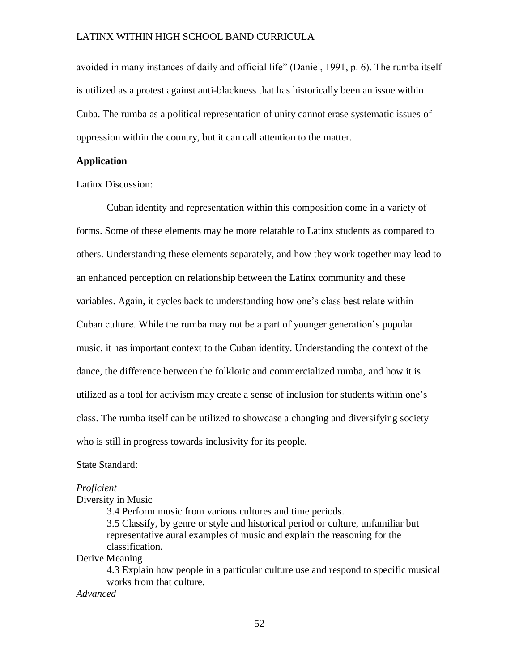avoided in many instances of daily and official life" (Daniel, 1991, p. 6). The rumba itself is utilized as a protest against anti-blackness that has historically been an issue within Cuba. The rumba as a political representation of unity cannot erase systematic issues of oppression within the country, but it can call attention to the matter.

### **Application**

Latinx Discussion:

Cuban identity and representation within this composition come in a variety of forms. Some of these elements may be more relatable to Latinx students as compared to others. Understanding these elements separately, and how they work together may lead to an enhanced perception on relationship between the Latinx community and these variables. Again, it cycles back to understanding how one's class best relate within Cuban culture. While the rumba may not be a part of younger generation's popular music, it has important context to the Cuban identity. Understanding the context of the dance, the difference between the folkloric and commercialized rumba, and how it is utilized as a tool for activism may create a sense of inclusion for students within one's class. The rumba itself can be utilized to showcase a changing and diversifying society who is still in progress towards inclusivity for its people.

State Standard:

#### *Proficient*

Diversity in Music

3.4 Perform music from various cultures and time periods. 3.5 Classify, by genre or style and historical period or culture, unfamiliar but representative aural examples of music and explain the reasoning for the classification.

Derive Meaning

4.3 Explain how people in a particular culture use and respond to specific musical works from that culture.

*Advanced*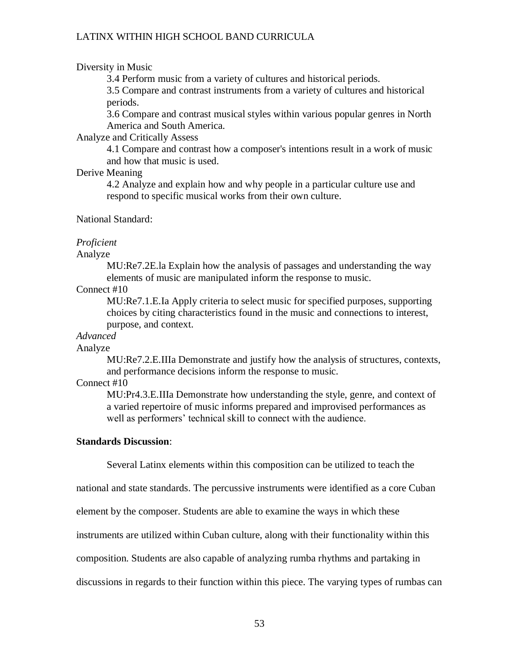### Diversity in Music

3.4 Perform music from a variety of cultures and historical periods.

3.5 Compare and contrast instruments from a variety of cultures and historical periods.

3.6 Compare and contrast musical styles within various popular genres in North America and South America.

## Analyze and Critically Assess

4.1 Compare and contrast how a composer's intentions result in a work of music and how that music is used.

## Derive Meaning

4.2 Analyze and explain how and why people in a particular culture use and respond to specific musical works from their own culture.

## National Standard:

### *Proficient*

Analyze

MU:Re7.2E.la Explain how the analysis of passages and understanding the way elements of music are manipulated inform the response to music.

## Connect #10

MU:Re7.1.E.Ia Apply criteria to select music for specified purposes, supporting choices by citing characteristics found in the music and connections to interest, purpose, and context.

## *Advanced*

#### Analyze

MU:Re7.2.E.IIIa Demonstrate and justify how the analysis of structures, contexts, and performance decisions inform the response to music.

## Connect #10

MU:Pr4.3.E.IIIa Demonstrate how understanding the style, genre, and context of a varied repertoire of music informs prepared and improvised performances as well as performers' technical skill to connect with the audience.

#### **Standards Discussion**:

Several Latinx elements within this composition can be utilized to teach the

national and state standards. The percussive instruments were identified as a core Cuban

element by the composer. Students are able to examine the ways in which these

instruments are utilized within Cuban culture, along with their functionality within this

composition. Students are also capable of analyzing rumba rhythms and partaking in

discussions in regards to their function within this piece. The varying types of rumbas can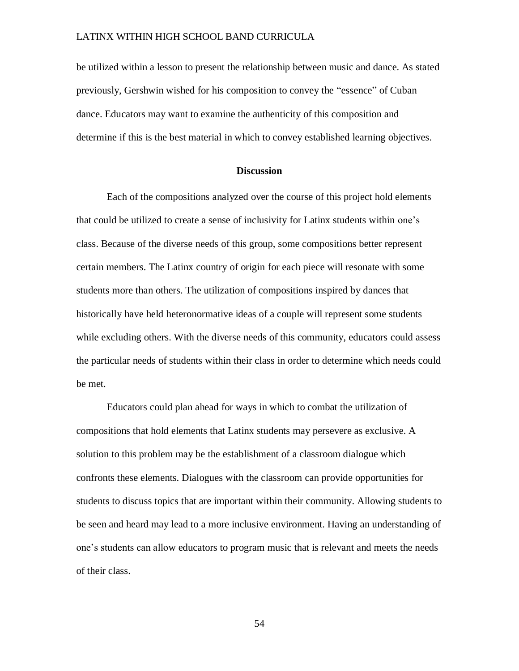be utilized within a lesson to present the relationship between music and dance. As stated previously, Gershwin wished for his composition to convey the "essence" of Cuban dance. Educators may want to examine the authenticity of this composition and determine if this is the best material in which to convey established learning objectives.

## **Discussion**

Each of the compositions analyzed over the course of this project hold elements that could be utilized to create a sense of inclusivity for Latinx students within one's class. Because of the diverse needs of this group, some compositions better represent certain members. The Latinx country of origin for each piece will resonate with some students more than others. The utilization of compositions inspired by dances that historically have held heteronormative ideas of a couple will represent some students while excluding others. With the diverse needs of this community, educators could assess the particular needs of students within their class in order to determine which needs could be met.

Educators could plan ahead for ways in which to combat the utilization of compositions that hold elements that Latinx students may persevere as exclusive. A solution to this problem may be the establishment of a classroom dialogue which confronts these elements. Dialogues with the classroom can provide opportunities for students to discuss topics that are important within their community. Allowing students to be seen and heard may lead to a more inclusive environment. Having an understanding of one's students can allow educators to program music that is relevant and meets the needs of their class.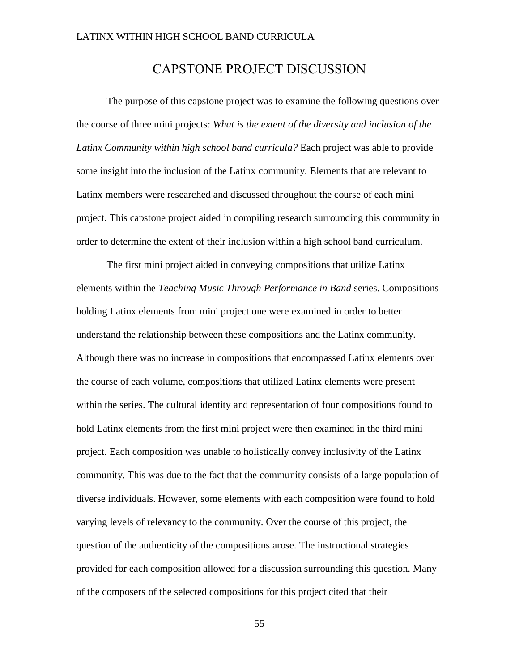# CAPSTONE PROJECT DISCUSSION

The purpose of this capstone project was to examine the following questions over the course of three mini projects: *What is the extent of the diversity and inclusion of the Latinx Community within high school band curricula?* Each project was able to provide some insight into the inclusion of the Latinx community. Elements that are relevant to Latinx members were researched and discussed throughout the course of each mini project. This capstone project aided in compiling research surrounding this community in order to determine the extent of their inclusion within a high school band curriculum.

The first mini project aided in conveying compositions that utilize Latinx elements within the *Teaching Music Through Performance in Band* series. Compositions holding Latinx elements from mini project one were examined in order to better understand the relationship between these compositions and the Latinx community. Although there was no increase in compositions that encompassed Latinx elements over the course of each volume, compositions that utilized Latinx elements were present within the series. The cultural identity and representation of four compositions found to hold Latinx elements from the first mini project were then examined in the third mini project. Each composition was unable to holistically convey inclusivity of the Latinx community. This was due to the fact that the community consists of a large population of diverse individuals. However, some elements with each composition were found to hold varying levels of relevancy to the community. Over the course of this project, the question of the authenticity of the compositions arose. The instructional strategies provided for each composition allowed for a discussion surrounding this question. Many of the composers of the selected compositions for this project cited that their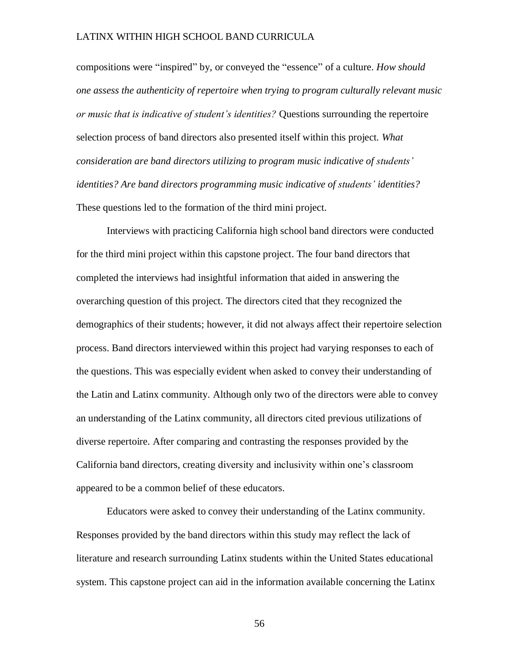compositions were "inspired" by, or conveyed the "essence" of a culture. *How should one assess the authenticity of repertoire when trying to program culturally relevant music or music that is indicative of student's identities?* Questions surrounding the repertoire selection process of band directors also presented itself within this project. *What consideration are band directors utilizing to program music indicative of students' identities? Are band directors programming music indicative of students' identities?* These questions led to the formation of the third mini project.

Interviews with practicing California high school band directors were conducted for the third mini project within this capstone project. The four band directors that completed the interviews had insightful information that aided in answering the overarching question of this project. The directors cited that they recognized the demographics of their students; however, it did not always affect their repertoire selection process. Band directors interviewed within this project had varying responses to each of the questions. This was especially evident when asked to convey their understanding of the Latin and Latinx community. Although only two of the directors were able to convey an understanding of the Latinx community, all directors cited previous utilizations of diverse repertoire. After comparing and contrasting the responses provided by the California band directors, creating diversity and inclusivity within one's classroom appeared to be a common belief of these educators.

Educators were asked to convey their understanding of the Latinx community. Responses provided by the band directors within this study may reflect the lack of literature and research surrounding Latinx students within the United States educational system. This capstone project can aid in the information available concerning the Latinx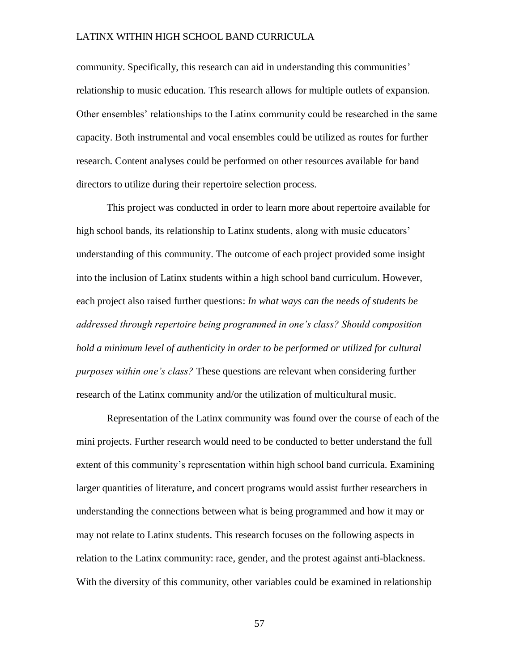community. Specifically, this research can aid in understanding this communities' relationship to music education. This research allows for multiple outlets of expansion. Other ensembles' relationships to the Latinx community could be researched in the same capacity. Both instrumental and vocal ensembles could be utilized as routes for further research. Content analyses could be performed on other resources available for band directors to utilize during their repertoire selection process.

This project was conducted in order to learn more about repertoire available for high school bands, its relationship to Latinx students, along with music educators' understanding of this community. The outcome of each project provided some insight into the inclusion of Latinx students within a high school band curriculum. However, each project also raised further questions: *In what ways can the needs of students be addressed through repertoire being programmed in one's class? Should composition hold a minimum level of authenticity in order to be performed or utilized for cultural purposes within one's class?* These questions are relevant when considering further research of the Latinx community and/or the utilization of multicultural music.

Representation of the Latinx community was found over the course of each of the mini projects. Further research would need to be conducted to better understand the full extent of this community's representation within high school band curricula. Examining larger quantities of literature, and concert programs would assist further researchers in understanding the connections between what is being programmed and how it may or may not relate to Latinx students. This research focuses on the following aspects in relation to the Latinx community: race, gender, and the protest against anti-blackness. With the diversity of this community, other variables could be examined in relationship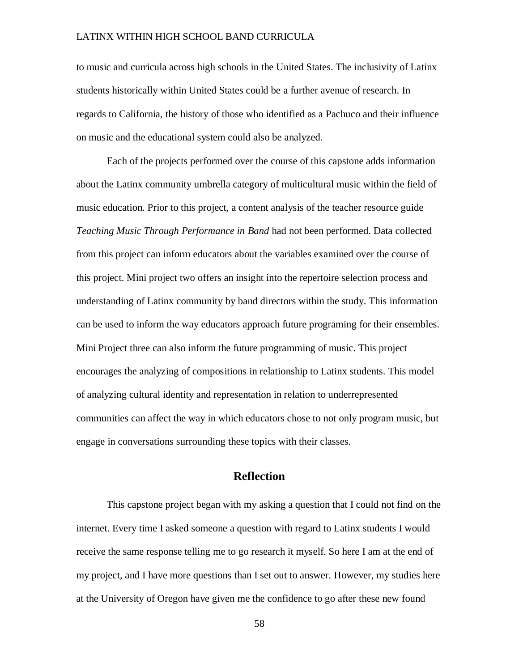to music and curricula across high schools in the United States. The inclusivity of Latinx students historically within United States could be a further avenue of research. In regards to California, the history of those who identified as a Pachuco and their influence on music and the educational system could also be analyzed.

Each of the projects performed over the course of this capstone adds information about the Latinx community umbrella category of multicultural music within the field of music education. Prior to this project, a content analysis of the teacher resource guide *Teaching Music Through Performance in Band* had not been performed. Data collected from this project can inform educators about the variables examined over the course of this project. Mini project two offers an insight into the repertoire selection process and understanding of Latinx community by band directors within the study. This information can be used to inform the way educators approach future programing for their ensembles. Mini Project three can also inform the future programming of music. This project encourages the analyzing of compositions in relationship to Latinx students. This model of analyzing cultural identity and representation in relation to underrepresented communities can affect the way in which educators chose to not only program music, but engage in conversations surrounding these topics with their classes.

# **Reflection**

This capstone project began with my asking a question that I could not find on the internet. Every time I asked someone a question with regard to Latinx students I would receive the same response telling me to go research it myself. So here I am at the end of my project, and I have more questions than I set out to answer. However, my studies here at the University of Oregon have given me the confidence to go after these new found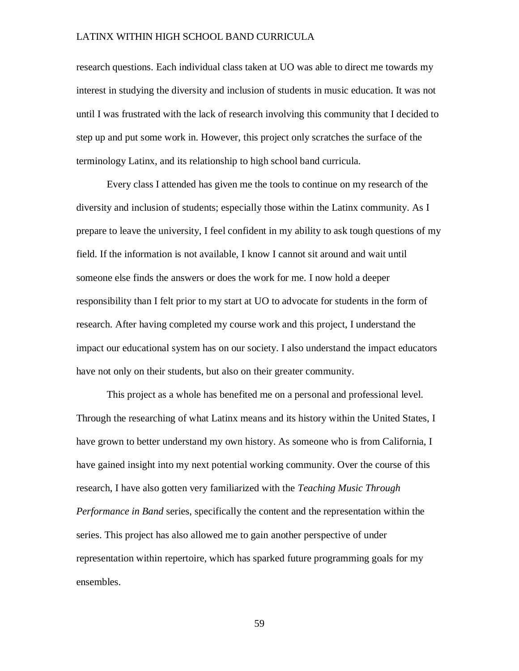research questions. Each individual class taken at UO was able to direct me towards my interest in studying the diversity and inclusion of students in music education. It was not until I was frustrated with the lack of research involving this community that I decided to step up and put some work in. However, this project only scratches the surface of the terminology Latinx, and its relationship to high school band curricula.

Every class I attended has given me the tools to continue on my research of the diversity and inclusion of students; especially those within the Latinx community. As I prepare to leave the university, I feel confident in my ability to ask tough questions of my field. If the information is not available, I know I cannot sit around and wait until someone else finds the answers or does the work for me. I now hold a deeper responsibility than I felt prior to my start at UO to advocate for students in the form of research. After having completed my course work and this project, I understand the impact our educational system has on our society. I also understand the impact educators have not only on their students, but also on their greater community.

This project as a whole has benefited me on a personal and professional level. Through the researching of what Latinx means and its history within the United States, I have grown to better understand my own history. As someone who is from California, I have gained insight into my next potential working community. Over the course of this research, I have also gotten very familiarized with the *Teaching Music Through Performance in Band* series, specifically the content and the representation within the series. This project has also allowed me to gain another perspective of under representation within repertoire, which has sparked future programming goals for my ensembles.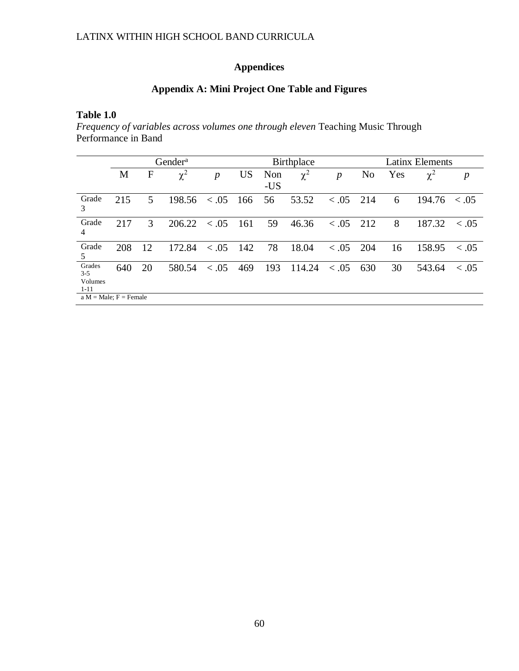# **Appendices**

# **Appendix A: Mini Project One Table and Figures**

# **Table 1.0**

*Frequency of variables across volumes one through eleven* Teaching Music Through Performance in Band

|                                          | Gender <sup>a</sup> |    |          |                  | Birthplace |            |          |                  | <b>Latinx Elements</b> |     |          |            |
|------------------------------------------|---------------------|----|----------|------------------|------------|------------|----------|------------------|------------------------|-----|----------|------------|
|                                          | M                   | F  | $\chi^2$ | $\boldsymbol{p}$ | <b>US</b>  | Non<br>-US | $\chi^2$ | $\boldsymbol{p}$ | N <sub>0</sub>         | Yes | $\chi^2$ | p          |
| Grade<br>3                               | 215                 | 5  | 198.56   | < 0.05           | 166        | 56         | 53.52    | < 0.05           | 214                    | 6   | 194.76   | $\leq .05$ |
| Grade<br>4                               | 217                 | 3  | 206.22   | < 0.05           | 161        | 59         | 46.36    | < 0.05           | 212                    | 8   | 187.32   | $\leq .05$ |
| Grade<br>5                               | 208                 | 12 | 172.84   | < 0.05           | 142        | 78         | 18.04    | < 0.05           | 204                    | 16  | 158.95   | $\leq .05$ |
| Grades<br>$3 - 5$<br>Volumes<br>$1 - 11$ | 640                 | 20 | 580.54   | < 0.05           | 469        | 193        | 114.24   | < 0.05           | 630                    | 30  | 543.64   | $\leq .05$ |
| $a M = Male$ ; $F = Female$              |                     |    |          |                  |            |            |          |                  |                        |     |          |            |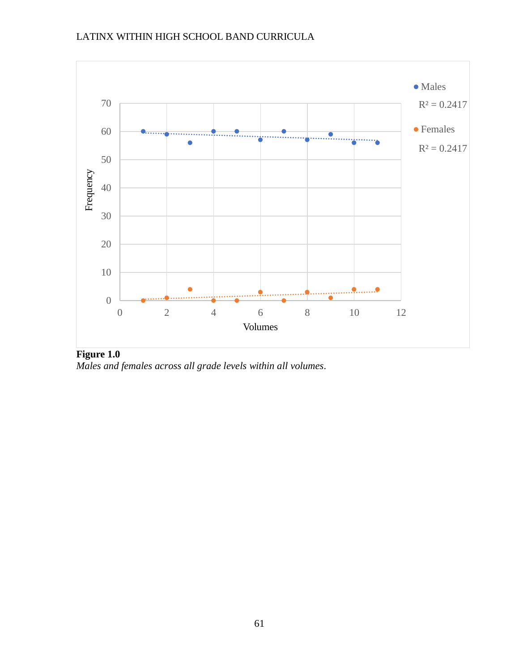

**Figure 1.0** *Males and females across all grade levels within all volumes.*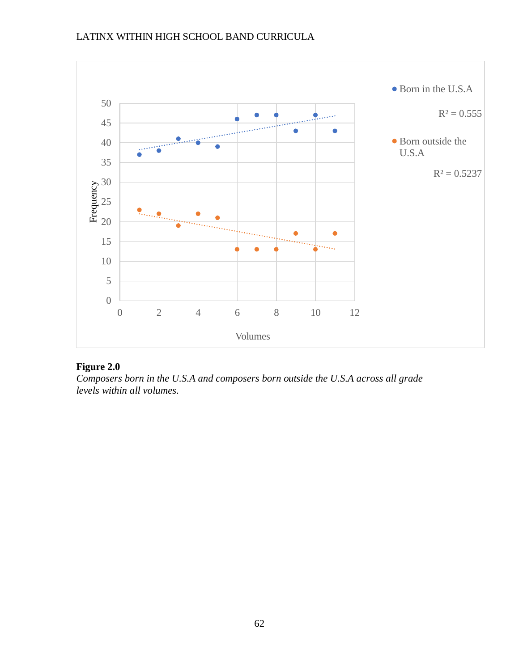

# **Figure 2.0**

*Composers born in the U.S.A and composers born outside the U.S.A across all grade levels within all volumes.*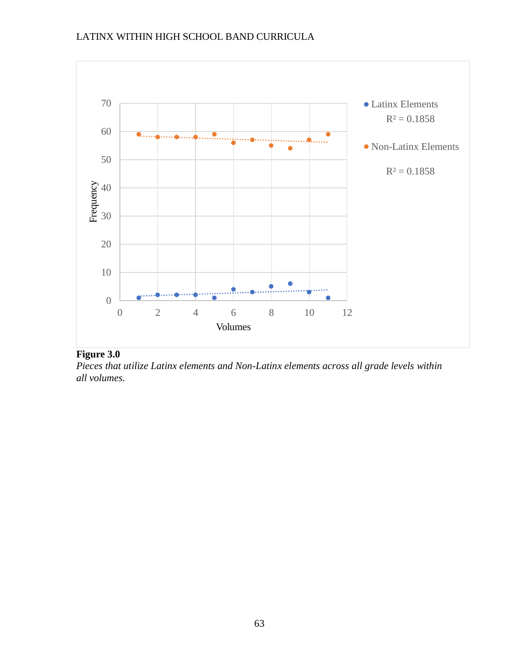

# **Figure 3.0**

*Pieces that utilize Latinx elements and Non-Latinx elements across all grade levels within all volumes.*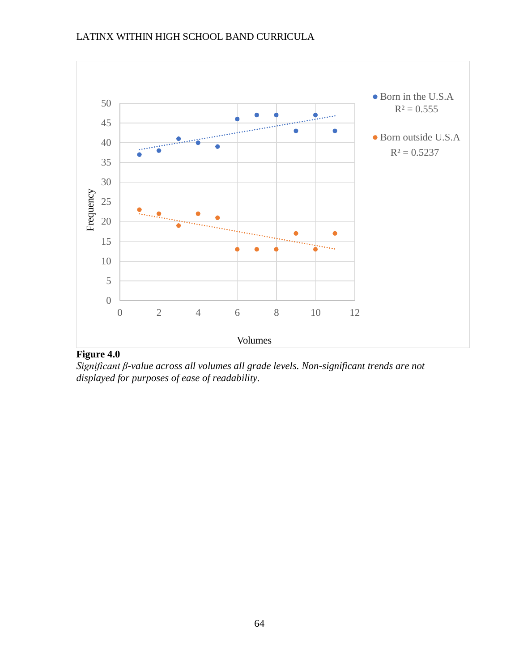

# **Figure 4.0**

*Significant β-value across all volumes all grade levels. Non-significant trends are not displayed for purposes of ease of readability.*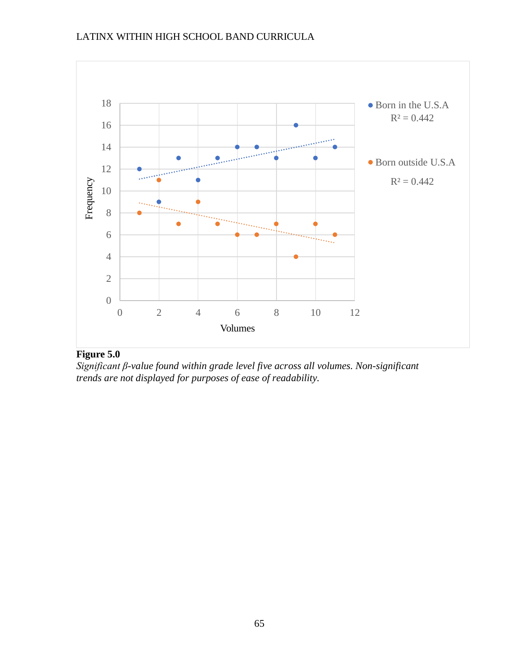

# **Figure 5.0**

*Significant β-value found within grade level five across all volumes. Non-significant trends are not displayed for purposes of ease of readability.*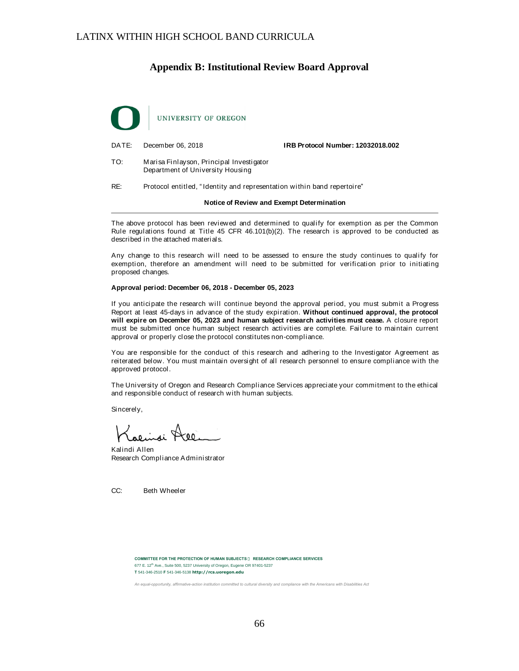## **Appendix B: Institutional Review Board Approval**



DATE: December 06, 2018 **IRB Protocol Number: 12032018.002**

TO: Marisa Finlayson, Principal Investigator Department of University Housing

RE: Protocol entitled, " Identity and representation within band repertoire"

#### **Notice of Review and Exempt Determination**

The above protocol has been reviewed and determined to qualify for exemption as per the Common Rule regulations found at Title 45 CFR 46.101(b)(2). The research is approved to be conducted as described in the attached materials.

Any change to this research will need to be assessed to ensure the study continues to qualify for exemption, therefore an amendment will need to be submitted for verification prior to initiating proposed changes.

#### **Approval period: December 06, 2018 - December 05, 2023**

If you anticipate the research will continue beyond the approval period, you must submit a Progress Report at least 45-days in advance of the study expiration. **Without continued approval, the protocol will expire on December 05, 2023 and human subject research activities must cease.** A closure report must be submitted once human subject research activities are complete. Failure to maintain current approval or properly close the protocol constitutes non-compliance.

You are responsible for the conduct of this research and adhering to the Investigator Agreement as reiterated below. You must maintain oversight of all research personnel to ensure compliance with the approved protocol.

The University of Oregon and Research Compliance Services appreciate your commitment to the ethical and responsible conduct of research with human subjects.

Sincerely,

Kalindi Allen Research Compliance Administrator

CC: Beth Wheeler

**COMMITTEE FOR THE PROTECTION OF HUMAN SUBJECTS** ● **RESEARCH COMPLIANCE SERVICES** 677 E. 12<sup>th</sup> Ave., Suite 500, 5237 University of Oregon, Eugene OR 97401-5237 **T** 541-346-2510 **F** 541-346-5138 **http://rcs.uoregon.edu**

An equal-opportunity, affirmative-action institution committed to cultural diversity and compliance with the Americans with Disabilities Act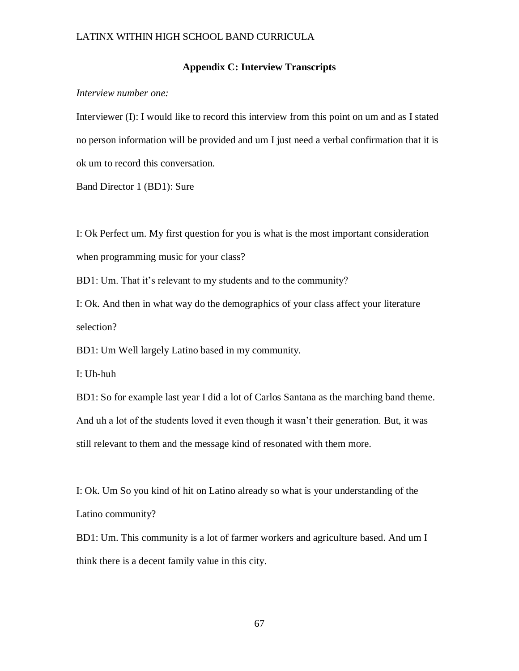#### **Appendix C: Interview Transcripts**

*Interview number one:*

Interviewer (I): I would like to record this interview from this point on um and as I stated no person information will be provided and um I just need a verbal confirmation that it is ok um to record this conversation.

Band Director 1 (BD1): Sure

I: Ok Perfect um. My first question for you is what is the most important consideration when programming music for your class?

BD1: Um. That it's relevant to my students and to the community?

I: Ok. And then in what way do the demographics of your class affect your literature selection?

BD1: Um Well largely Latino based in my community.

I: Uh-huh

BD1: So for example last year I did a lot of Carlos Santana as the marching band theme. And uh a lot of the students loved it even though it wasn't their generation. But, it was still relevant to them and the message kind of resonated with them more.

I: Ok. Um So you kind of hit on Latino already so what is your understanding of the Latino community?

BD1: Um. This community is a lot of farmer workers and agriculture based. And um I think there is a decent family value in this city.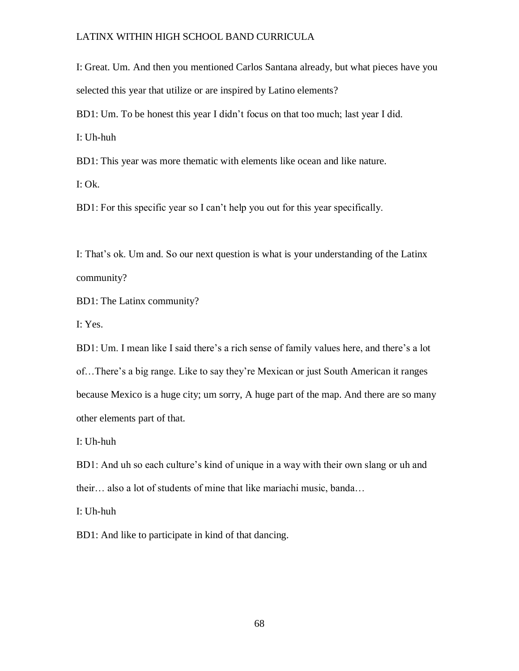I: Great. Um. And then you mentioned Carlos Santana already, but what pieces have you selected this year that utilize or are inspired by Latino elements?

BD1: Um. To be honest this year I didn't focus on that too much; last year I did.

I: Uh-huh

BD1: This year was more thematic with elements like ocean and like nature.

I: Ok.

BD1: For this specific year so I can't help you out for this year specifically.

I: That's ok. Um and. So our next question is what is your understanding of the Latinx community?

BD1: The Latinx community?

I: Yes.

BD1: Um. I mean like I said there's a rich sense of family values here, and there's a lot of…There's a big range. Like to say they're Mexican or just South American it ranges because Mexico is a huge city; um sorry, A huge part of the map. And there are so many other elements part of that.

I: Uh-huh

BD1: And uh so each culture's kind of unique in a way with their own slang or uh and their… also a lot of students of mine that like mariachi music, banda…

I: Uh-huh

BD1: And like to participate in kind of that dancing.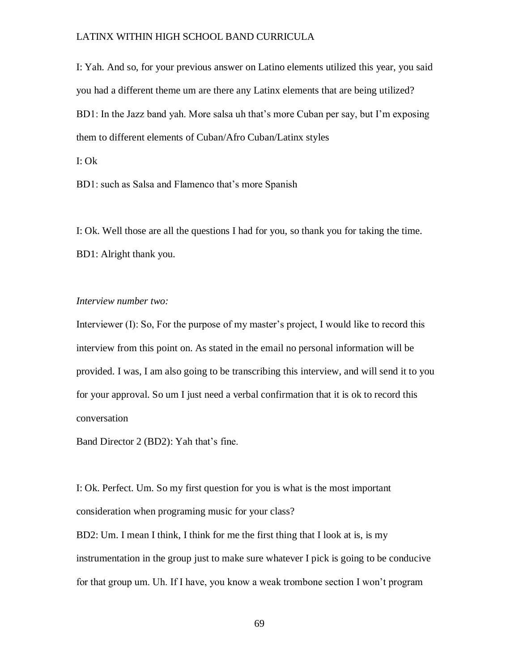I: Yah. And so, for your previous answer on Latino elements utilized this year, you said you had a different theme um are there any Latinx elements that are being utilized? BD1: In the Jazz band yah. More salsa uh that's more Cuban per say, but I'm exposing them to different elements of Cuban/Afro Cuban/Latinx styles

I: Ok

BD1: such as Salsa and Flamenco that's more Spanish

I: Ok. Well those are all the questions I had for you, so thank you for taking the time. BD1: Alright thank you.

#### *Interview number two:*

Interviewer (I): So, For the purpose of my master's project, I would like to record this interview from this point on. As stated in the email no personal information will be provided. I was, I am also going to be transcribing this interview, and will send it to you for your approval. So um I just need a verbal confirmation that it is ok to record this conversation

Band Director 2 (BD2): Yah that's fine.

I: Ok. Perfect. Um. So my first question for you is what is the most important consideration when programing music for your class?

BD2: Um. I mean I think, I think for me the first thing that I look at is, is my instrumentation in the group just to make sure whatever I pick is going to be conducive for that group um. Uh. If I have, you know a weak trombone section I won't program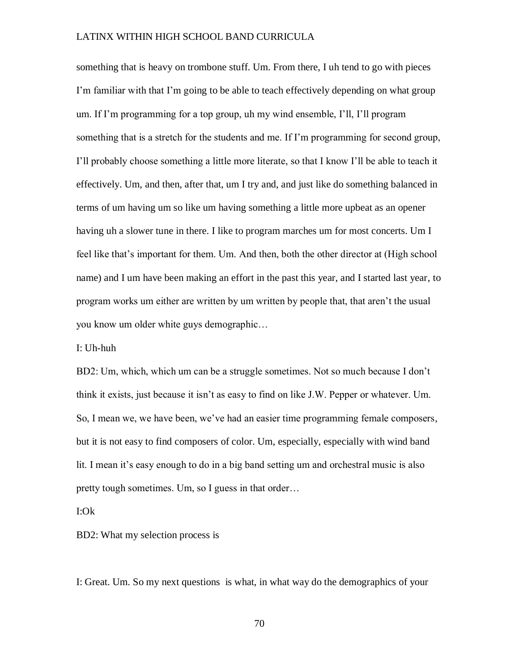something that is heavy on trombone stuff. Um. From there, I uh tend to go with pieces I'm familiar with that I'm going to be able to teach effectively depending on what group um. If I'm programming for a top group, uh my wind ensemble, I'll, I'll program something that is a stretch for the students and me. If I'm programming for second group, I'll probably choose something a little more literate, so that I know I'll be able to teach it effectively. Um, and then, after that, um I try and, and just like do something balanced in terms of um having um so like um having something a little more upbeat as an opener having uh a slower tune in there. I like to program marches um for most concerts. Um I feel like that's important for them. Um. And then, both the other director at (High school name) and I um have been making an effort in the past this year, and I started last year, to program works um either are written by um written by people that, that aren't the usual you know um older white guys demographic…

I: Uh-huh

BD2: Um, which, which um can be a struggle sometimes. Not so much because I don't think it exists, just because it isn't as easy to find on like J.W. Pepper or whatever. Um. So, I mean we, we have been, we've had an easier time programming female composers, but it is not easy to find composers of color. Um, especially, especially with wind band lit. I mean it's easy enough to do in a big band setting um and orchestral music is also pretty tough sometimes. Um, so I guess in that order…

I:Ok

BD2: What my selection process is

I: Great. Um. So my next questions is what, in what way do the demographics of your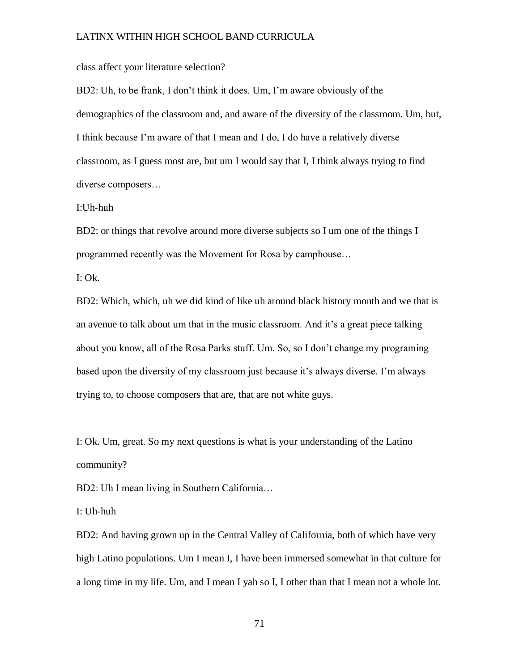class affect your literature selection?

BD2: Uh, to be frank, I don't think it does. Um, I'm aware obviously of the demographics of the classroom and, and aware of the diversity of the classroom. Um, but, I think because I'm aware of that I mean and I do, I do have a relatively diverse classroom, as I guess most are, but um I would say that I, I think always trying to find diverse composers…

I:Uh-huh

BD2: or things that revolve around more diverse subjects so I um one of the things I programmed recently was the Movement for Rosa by camphouse…

 $I: Ok.$ 

BD2: Which, which, uh we did kind of like uh around black history month and we that is an avenue to talk about um that in the music classroom. And it's a great piece talking about you know, all of the Rosa Parks stuff. Um. So, so I don't change my programing based upon the diversity of my classroom just because it's always diverse. I'm always trying to, to choose composers that are, that are not white guys.

I: Ok. Um, great. So my next questions is what is your understanding of the Latino community?

BD2: Uh I mean living in Southern California…

I: Uh-huh

BD2: And having grown up in the Central Valley of California, both of which have very high Latino populations. Um I mean I, I have been immersed somewhat in that culture for a long time in my life. Um, and I mean I yah so I, I other than that I mean not a whole lot.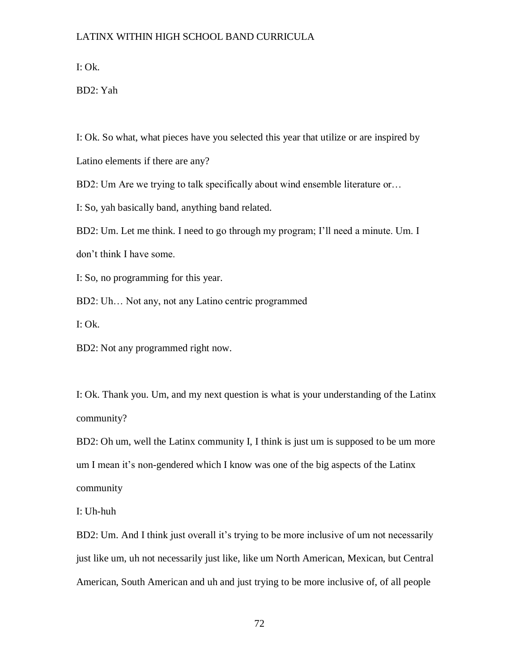I: Ok.

BD2: Yah

I: Ok. So what, what pieces have you selected this year that utilize or are inspired by

Latino elements if there are any?

BD2: Um Are we trying to talk specifically about wind ensemble literature or…

I: So, yah basically band, anything band related.

BD2: Um. Let me think. I need to go through my program; I'll need a minute. Um. I don't think I have some.

I: So, no programming for this year.

BD2: Uh… Not any, not any Latino centric programmed

I: Ok.

BD2: Not any programmed right now.

I: Ok. Thank you. Um, and my next question is what is your understanding of the Latinx community?

BD2: Oh um, well the Latinx community I, I think is just um is supposed to be um more um I mean it's non-gendered which I know was one of the big aspects of the Latinx community

I: Uh-huh

BD2: Um. And I think just overall it's trying to be more inclusive of um not necessarily just like um, uh not necessarily just like, like um North American, Mexican, but Central American, South American and uh and just trying to be more inclusive of, of all people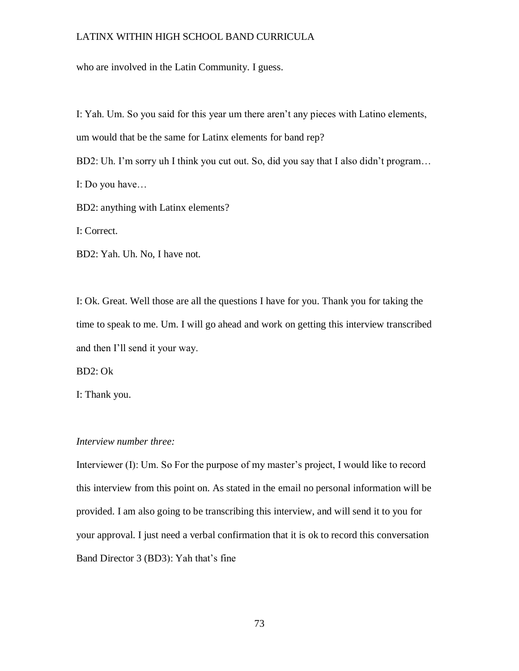who are involved in the Latin Community. I guess.

I: Yah. Um. So you said for this year um there aren't any pieces with Latino elements, um would that be the same for Latinx elements for band rep?

BD2: Uh. I'm sorry uh I think you cut out. So, did you say that I also didn't program...

I: Do you have…

BD2: anything with Latinx elements?

I: Correct.

BD2: Yah. Uh. No, I have not.

I: Ok. Great. Well those are all the questions I have for you. Thank you for taking the time to speak to me. Um. I will go ahead and work on getting this interview transcribed and then I'll send it your way.

BD2: Ok

I: Thank you.

#### *Interview number three:*

Interviewer (I): Um. So For the purpose of my master's project, I would like to record this interview from this point on. As stated in the email no personal information will be provided. I am also going to be transcribing this interview, and will send it to you for your approval. I just need a verbal confirmation that it is ok to record this conversation Band Director 3 (BD3): Yah that's fine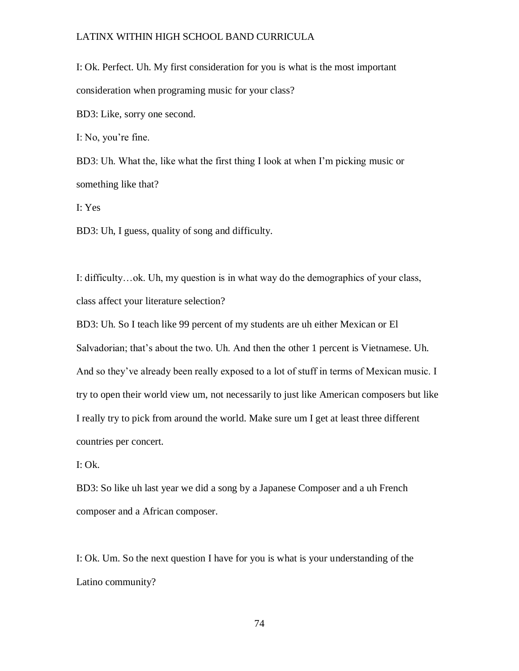I: Ok. Perfect. Uh. My first consideration for you is what is the most important consideration when programing music for your class?

BD3: Like, sorry one second.

I: No, you're fine.

BD3: Uh. What the, like what the first thing I look at when I'm picking music or something like that?

I: Yes

BD3: Uh, I guess, quality of song and difficulty.

I: difficulty…ok. Uh, my question is in what way do the demographics of your class, class affect your literature selection?

BD3: Uh. So I teach like 99 percent of my students are uh either Mexican or El Salvadorian; that's about the two. Uh. And then the other 1 percent is Vietnamese. Uh. And so they've already been really exposed to a lot of stuff in terms of Mexican music. I try to open their world view um, not necessarily to just like American composers but like I really try to pick from around the world. Make sure um I get at least three different countries per concert.

I: Ok.

BD3: So like uh last year we did a song by a Japanese Composer and a uh French composer and a African composer.

I: Ok. Um. So the next question I have for you is what is your understanding of the Latino community?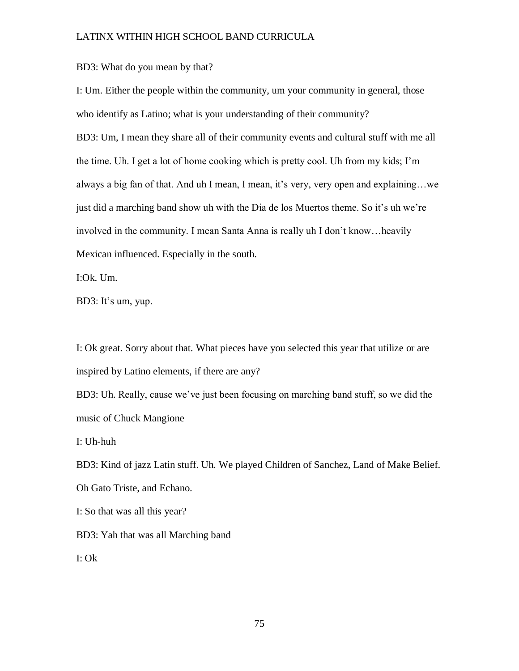BD3: What do you mean by that?

I: Um. Either the people within the community, um your community in general, those who identify as Latino; what is your understanding of their community? BD3: Um, I mean they share all of their community events and cultural stuff with me all the time. Uh. I get a lot of home cooking which is pretty cool. Uh from my kids; I'm always a big fan of that. And uh I mean, I mean, it's very, very open and explaining…we just did a marching band show uh with the Dia de los Muertos theme. So it's uh we're involved in the community. I mean Santa Anna is really uh I don't know…heavily Mexican influenced. Especially in the south.

I:Ok. Um.

BD3: It's um, yup.

I: Ok great. Sorry about that. What pieces have you selected this year that utilize or are inspired by Latino elements, if there are any?

BD3: Uh. Really, cause we've just been focusing on marching band stuff, so we did the music of Chuck Mangione

I: Uh-huh

BD3: Kind of jazz Latin stuff. Uh. We played Children of Sanchez, Land of Make Belief.

Oh Gato Triste, and Echano.

I: So that was all this year?

BD3: Yah that was all Marching band

I: Ok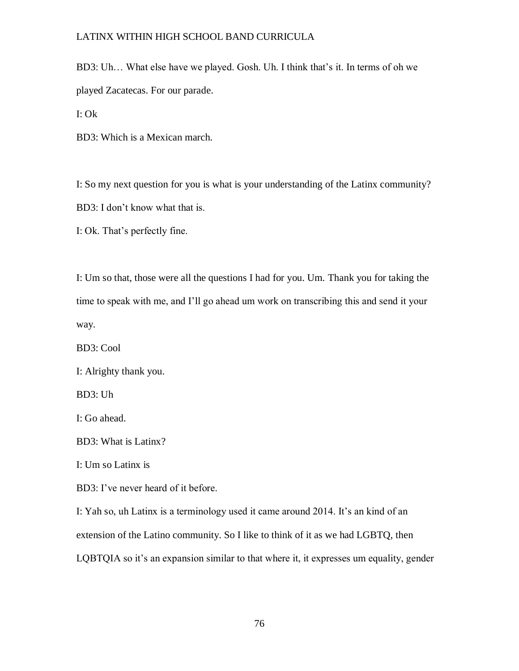BD3: Uh… What else have we played. Gosh. Uh. I think that's it. In terms of oh we played Zacatecas. For our parade.

I: Ok

BD3: Which is a Mexican march.

I: So my next question for you is what is your understanding of the Latinx community? BD3: I don't know what that is.

I: Ok. That's perfectly fine.

I: Um so that, those were all the questions I had for you. Um. Thank you for taking the time to speak with me, and I'll go ahead um work on transcribing this and send it your way.

BD3: Cool

I: Alrighty thank you.

BD3: Uh

I: Go ahead.

BD3: What is Latinx?

I: Um so Latinx is

BD3: I've never heard of it before.

I: Yah so, uh Latinx is a terminology used it came around 2014. It's an kind of an extension of the Latino community. So I like to think of it as we had LGBTQ, then LQBTQIA so it's an expansion similar to that where it, it expresses um equality, gender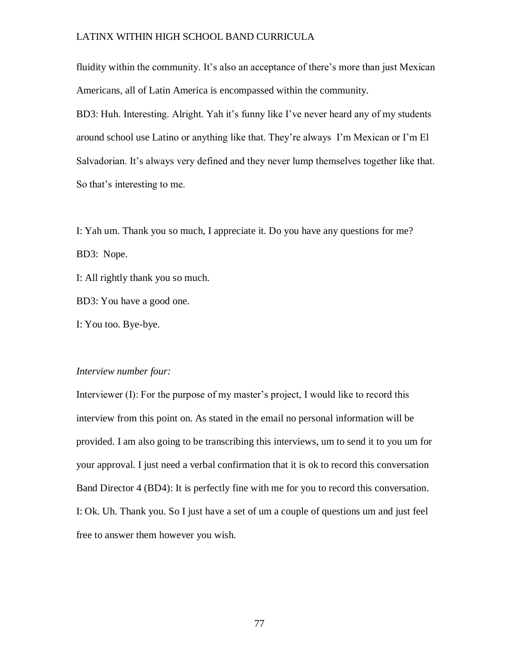fluidity within the community. It's also an acceptance of there's more than just Mexican Americans, all of Latin America is encompassed within the community.

BD3: Huh. Interesting. Alright. Yah it's funny like I've never heard any of my students around school use Latino or anything like that. They're always I'm Mexican or I'm El Salvadorian. It's always very defined and they never lump themselves together like that. So that's interesting to me.

I: Yah um. Thank you so much, I appreciate it. Do you have any questions for me? BD3: Nope.

I: All rightly thank you so much.

BD3: You have a good one.

I: You too. Bye-bye.

#### *Interview number four:*

Interviewer (I): For the purpose of my master's project, I would like to record this interview from this point on. As stated in the email no personal information will be provided. I am also going to be transcribing this interviews, um to send it to you um for your approval. I just need a verbal confirmation that it is ok to record this conversation Band Director 4 (BD4): It is perfectly fine with me for you to record this conversation. I: Ok. Uh. Thank you. So I just have a set of um a couple of questions um and just feel free to answer them however you wish.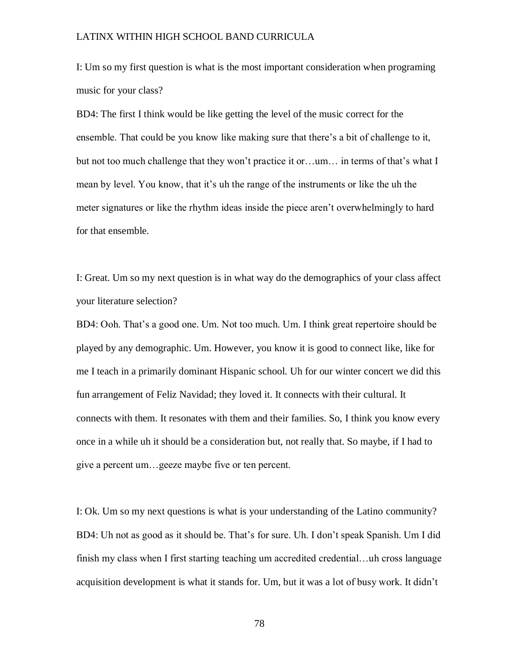I: Um so my first question is what is the most important consideration when programing music for your class?

BD4: The first I think would be like getting the level of the music correct for the ensemble. That could be you know like making sure that there's a bit of challenge to it, but not too much challenge that they won't practice it or…um… in terms of that's what I mean by level. You know, that it's uh the range of the instruments or like the uh the meter signatures or like the rhythm ideas inside the piece aren't overwhelmingly to hard for that ensemble.

I: Great. Um so my next question is in what way do the demographics of your class affect your literature selection?

BD4: Ooh. That's a good one. Um. Not too much. Um. I think great repertoire should be played by any demographic. Um. However, you know it is good to connect like, like for me I teach in a primarily dominant Hispanic school. Uh for our winter concert we did this fun arrangement of Feliz Navidad; they loved it. It connects with their cultural. It connects with them. It resonates with them and their families. So, I think you know every once in a while uh it should be a consideration but, not really that. So maybe, if I had to give a percent um…geeze maybe five or ten percent.

I: Ok. Um so my next questions is what is your understanding of the Latino community? BD4: Uh not as good as it should be. That's for sure. Uh. I don't speak Spanish. Um I did finish my class when I first starting teaching um accredited credential…uh cross language acquisition development is what it stands for. Um, but it was a lot of busy work. It didn't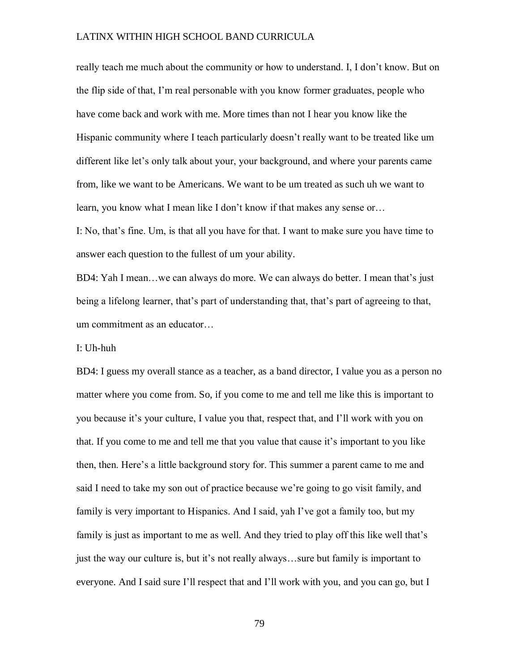really teach me much about the community or how to understand. I, I don't know. But on the flip side of that, I'm real personable with you know former graduates, people who have come back and work with me. More times than not I hear you know like the Hispanic community where I teach particularly doesn't really want to be treated like um different like let's only talk about your, your background, and where your parents came from, like we want to be Americans. We want to be um treated as such uh we want to learn, you know what I mean like I don't know if that makes any sense or…

I: No, that's fine. Um, is that all you have for that. I want to make sure you have time to answer each question to the fullest of um your ability.

BD4: Yah I mean…we can always do more. We can always do better. I mean that's just being a lifelong learner, that's part of understanding that, that's part of agreeing to that, um commitment as an educator…

I: Uh-huh

BD4: I guess my overall stance as a teacher, as a band director, I value you as a person no matter where you come from. So, if you come to me and tell me like this is important to you because it's your culture, I value you that, respect that, and I'll work with you on that. If you come to me and tell me that you value that cause it's important to you like then, then. Here's a little background story for. This summer a parent came to me and said I need to take my son out of practice because we're going to go visit family, and family is very important to Hispanics. And I said, yah I've got a family too, but my family is just as important to me as well. And they tried to play off this like well that's just the way our culture is, but it's not really always…sure but family is important to everyone. And I said sure I'll respect that and I'll work with you, and you can go, but I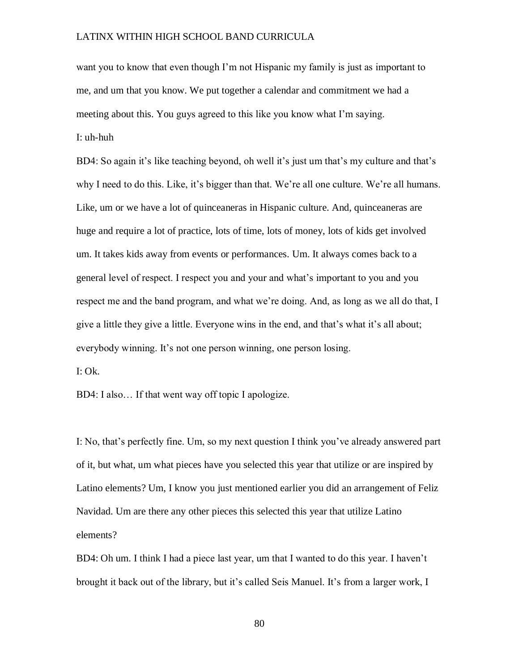want you to know that even though I'm not Hispanic my family is just as important to me, and um that you know. We put together a calendar and commitment we had a meeting about this. You guys agreed to this like you know what I'm saying. I: uh-huh

BD4: So again it's like teaching beyond, oh well it's just um that's my culture and that's why I need to do this. Like, it's bigger than that. We're all one culture. We're all humans. Like, um or we have a lot of quinceaneras in Hispanic culture. And, quinceaneras are huge and require a lot of practice, lots of time, lots of money, lots of kids get involved um. It takes kids away from events or performances. Um. It always comes back to a general level of respect. I respect you and your and what's important to you and you respect me and the band program, and what we're doing. And, as long as we all do that, I give a little they give a little. Everyone wins in the end, and that's what it's all about; everybody winning. It's not one person winning, one person losing.

I: Ok.

BD4: I also… If that went way off topic I apologize.

I: No, that's perfectly fine. Um, so my next question I think you've already answered part of it, but what, um what pieces have you selected this year that utilize or are inspired by Latino elements? Um, I know you just mentioned earlier you did an arrangement of Feliz Navidad. Um are there any other pieces this selected this year that utilize Latino elements?

BD4: Oh um. I think I had a piece last year, um that I wanted to do this year. I haven't brought it back out of the library, but it's called Seis Manuel. It's from a larger work, I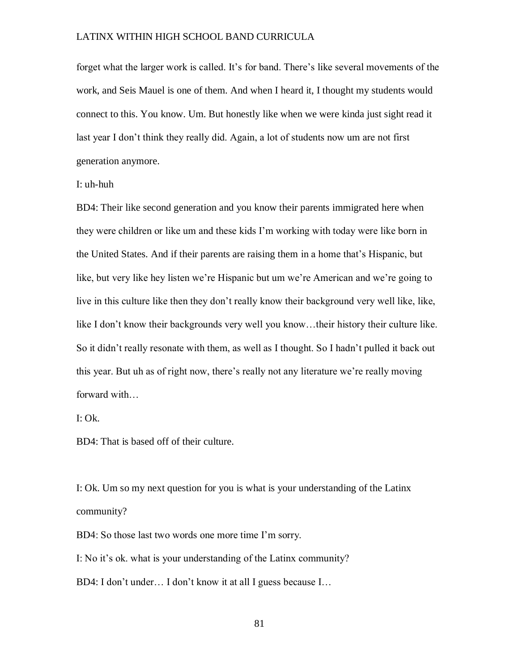forget what the larger work is called. It's for band. There's like several movements of the work, and Seis Mauel is one of them. And when I heard it, I thought my students would connect to this. You know. Um. But honestly like when we were kinda just sight read it last year I don't think they really did. Again, a lot of students now um are not first generation anymore.

I: uh-huh

BD4: Their like second generation and you know their parents immigrated here when they were children or like um and these kids I'm working with today were like born in the United States. And if their parents are raising them in a home that's Hispanic, but like, but very like hey listen we're Hispanic but um we're American and we're going to live in this culture like then they don't really know their background very well like, like, like I don't know their backgrounds very well you know…their history their culture like. So it didn't really resonate with them, as well as I thought. So I hadn't pulled it back out this year. But uh as of right now, there's really not any literature we're really moving forward with…

I: Ok.

BD4: That is based off of their culture.

I: Ok. Um so my next question for you is what is your understanding of the Latinx community?

BD4: So those last two words one more time I'm sorry.

I: No it's ok. what is your understanding of the Latinx community?

BD4: I don't under… I don't know it at all I guess because I…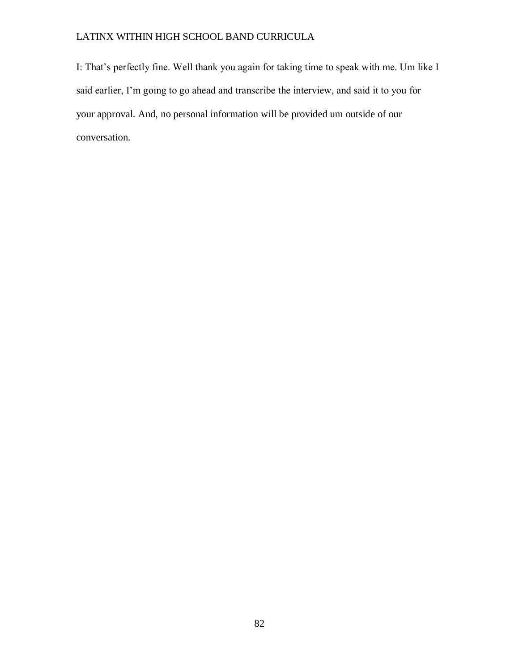I: That's perfectly fine. Well thank you again for taking time to speak with me. Um like I said earlier, I'm going to go ahead and transcribe the interview, and said it to you for your approval. And, no personal information will be provided um outside of our conversation.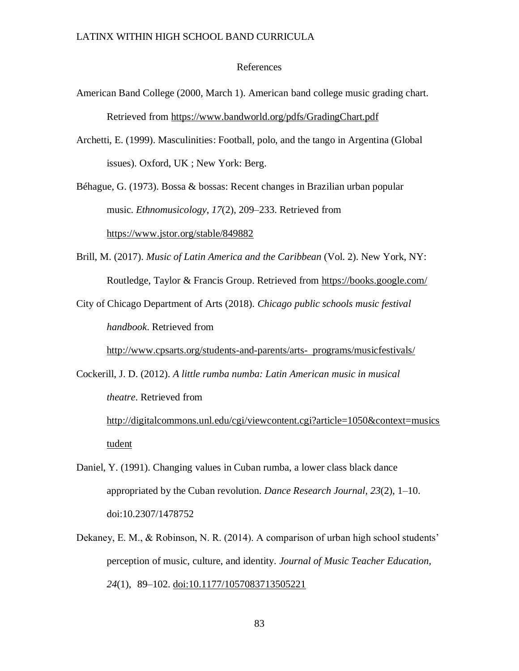#### References

- American Band College (2000, March 1). American band college music grading chart. Retrieved from https://www.bandworld.org/pdfs/GradingChart.pdf
- Archetti, E. (1999). Masculinities: Football, polo, and the tango in Argentina (Global issues). Oxford, UK ; New York: Berg.

Béhague, G. (1973). Bossa & bossas: Recent changes in Brazilian urban popular music. *Ethnomusicology*, *17*(2), 209–233. Retrieved from https://www.jstor.org/stable/849882

Brill, M. (2017). *Music of Latin America and the Caribbean* (Vol. 2). New York, NY: Routledge, Taylor & Francis Group. Retrieved from https://books.google.com/

City of Chicago Department of Arts (2018). *Chicago public schools music festival handbook*. Retrieved from

http://www.cpsarts.org/students-and-parents/arts- programs/musicfestivals/

Cockerill, J. D. (2012). *A little rumba numba: Latin American music in musical theatre*. Retrieved from

http://digitalcommons.unl.edu/cgi/viewcontent.cgi?article=1050&context=musics tudent

- Daniel, Y. (1991). Changing values in Cuban rumba, a lower class black dance appropriated by the Cuban revolution. *Dance Research Journal, 23*(2), 1–10. doi:10.2307/1478752
- Dekaney, E. M., & Robinson, N. R. (2014). A comparison of urban high school students' perception of music, culture, and identity. *Journal of Music Teacher Education, 24*(1), 89–102. doi:10.1177/1057083713505221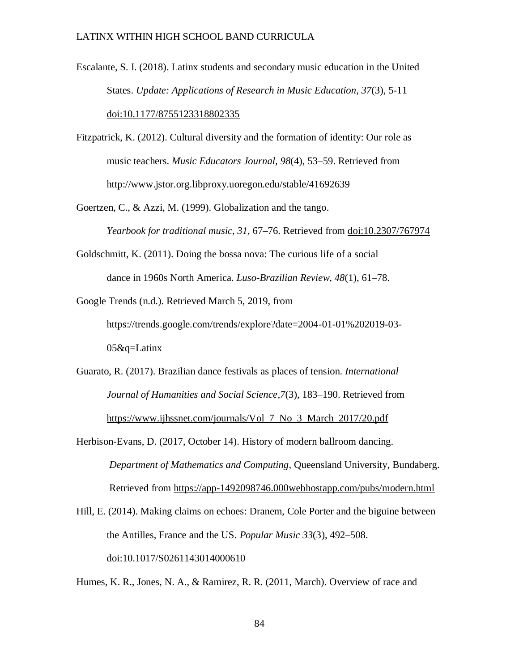Escalante, S. I. (2018). Latinx students and secondary music education in the United States. *Update: Applications of Research in Music Education, 37*(3), 5-11 doi:10.1177/8755123318802335

Fitzpatrick, K. (2012). Cultural diversity and the formation of identity: Our role as music teachers. *Music Educators Journal, 98*(4), 53–59. Retrieved from http://www.jstor.org.libproxy.uoregon.edu/stable/41692639

Goertzen, C., & Azzi, M. (1999). Globalization and the tango.

*Yearbook for traditional music, 31,* 67–76. Retrieved from doi:10.2307/767974

Goldschmitt, K. (2011). Doing the bossa nova: The curious life of a social dance in 1960s North America. *Luso-Brazilian Review, 48*(1), 61–78.

Google Trends (n.d.). Retrieved March 5, 2019, from

https://trends.google.com/trends/explore?date=2004-01-01%202019-03- 05&q=Latinx

Guarato, R. (2017). Brazilian dance festivals as places of tension. *International Journal of Humanities and Social Science,7*(3), 183–190. Retrieved from https://www.ijhssnet.com/journals/Vol\_7\_No\_3\_March\_2017/20.pdf

Herbison-Evans, D. (2017, October 14). History of modern ballroom dancing. *Department of Mathematics and Computing*, Queensland University, Bundaberg. Retrieved from https://app-1492098746.000webhostapp.com/pubs/modern.html

Hill, E. (2014). Making claims on echoes: Dranem, Cole Porter and the biguine between the Antilles, France and the US. *Popular Music 33*(3), 492–508. doi:10.1017/S0261143014000610

Humes, K. R., Jones, N. A., & Ramirez, R. R. (2011, March). Overview of race and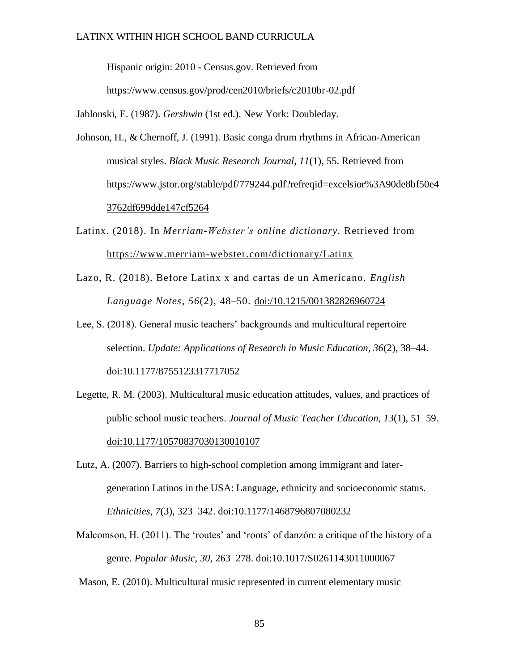Hispanic origin: 2010 - Census.gov. Retrieved from

https://www.census.gov/prod/cen2010/briefs/c2010br-02.pdf

Jablonski, E. (1987). *Gershwin* (1st ed.). New York: Doubleday.

Johnson, H., & Chernoff, J. (1991). Basic conga drum rhythms in African-American musical styles. *Black Music Research Journal*, *11*(1), 55. Retrieved from https://www.jstor.org/stable/pdf/779244.pdf?refreqid=excelsior%3A90de8bf50e4 3762df699dde147cf5264

Latinx. (2018). In *Merriam-Webster's online dictionary.* Retrieved from https://www.merriam-webster.com/dictionary/Latinx

Lazo, R. (2018). Before Latinx x and cartas de un Americano. *English Language Notes*, *56*(2), 48–50. doi:/10.1215/001382826960724

Lee, S. (2018). General music teachers' backgrounds and multicultural repertoire selection. *Update: Applications of Research in Music Education, 36*(2), 38–44. doi:10.1177/8755123317717052

- Legette, R. M. (2003). Multicultural music education attitudes, values, and practices of public school music teachers. *Journal of Music Teacher Education*, *13*(1), 51–59. doi:10.1177/10570837030130010107
- Lutz, A. (2007). Barriers to high-school completion among immigrant and latergeneration Latinos in the USA: Language, ethnicity and socioeconomic status. *Ethnicities*, *7*(3), 323–342. doi:10.1177/1468796807080232
- Malcomson, H. (2011). The 'routes' and 'roots' of danzón: a critique of the history of a genre. *Popular Music, 30*, 263–278. doi:10.1017/S0261143011000067

Mason, E. (2010). Multicultural music represented in current elementary music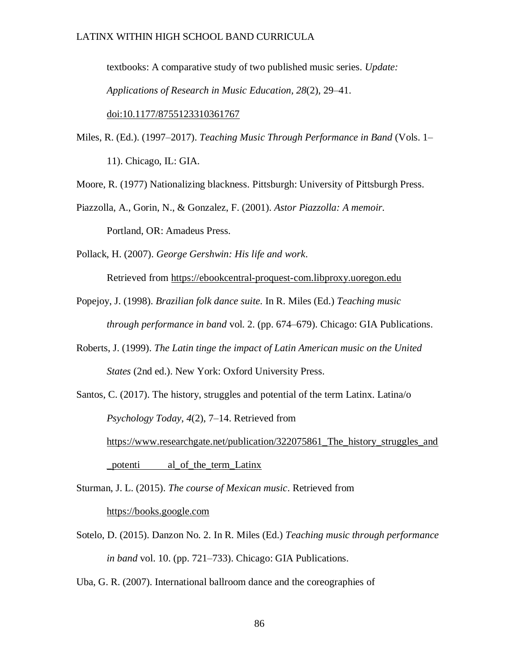textbooks: A comparative study of two published music series. *Update: Applications of Research in Music Education, 28*(2), 29–41. doi:10.1177/8755123310361767

Miles, R. (Ed.). (1997–2017). *Teaching Music Through Performance in Band* (Vols. 1– 11). Chicago, IL: GIA.

Moore, R. (1977) Nationalizing blackness. Pittsburgh: University of Pittsburgh Press.

Piazzolla, A., Gorin, N., & Gonzalez, F. (2001). *Astor Piazzolla: A memoir.* 

Portland, OR: Amadeus Press.

Pollack, H. (2007). *George Gershwin: His life and work*.

Retrieved from https://ebookcentral-proquest-com.libproxy.uoregon.edu

- Popejoy, J. (1998). *Brazilian folk dance suite*. In R. Miles (Ed.) *Teaching music through performance in band* vol. 2. (pp. 674–679). Chicago: GIA Publications.
- Roberts, J. (1999). *The Latin tinge the impact of Latin American music on the United States* (2nd ed.). New York: Oxford University Press.
- Santos, C. (2017). The history, struggles and potential of the term Latinx. Latina/o *Psychology Today*, *4*(2), 7–14. Retrieved from https://www.researchgate.net/publication/322075861\_The\_history\_struggles\_and \_potenti al\_of\_the\_term\_Latinx

Sturman, J. L. (2015). *The course of Mexican music*. Retrieved from https://books.google.com

Sotelo, D. (2015). Danzon No. 2. In R. Miles (Ed.) *Teaching music through performance in band* vol. 10. (pp. 721–733). Chicago: GIA Publications.

Uba, G. R. (2007). International ballroom dance and the coreographies of